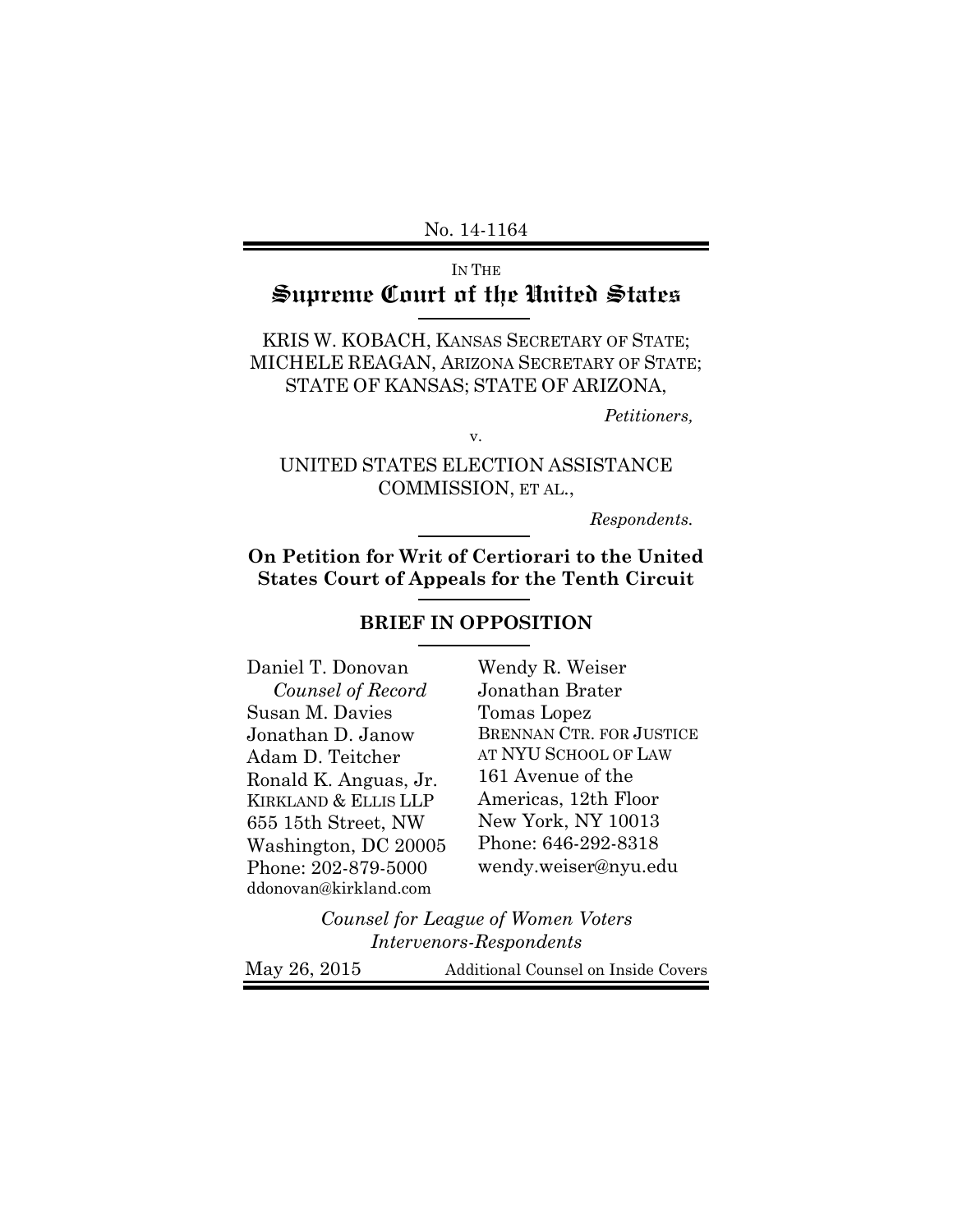# IN THE Supreme Court of the United States

KRIS W. KOBACH, KANSAS SECRETARY OF STATE; MICHELE REAGAN, ARIZONA SECRETARY OF STATE; STATE OF KANSAS; STATE OF ARIZONA,

*Petitioners,* 

UNITED STATES ELECTION ASSISTANCE COMMISSION, ET AL.,

v.

*Respondents.* 

**On Petition for Writ of Certiorari to the United States Court of Appeals for the Tenth Circuit** 

# **BRIEF IN OPPOSITION**

Daniel T. Donovan  *Counsel of Record* Susan M. Davies Jonathan D. Janow Adam D. Teitcher Ronald K. Anguas, Jr. KIRKLAND & ELLIS LLP 655 15th Street, NW Washington, DC 20005 Phone: 202-879-5000 ddonovan@kirkland.com

Wendy R. Weiser Jonathan Brater Tomas Lopez BRENNAN CTR. FOR JUSTICE AT NYU SCHOOL OF LAW 161 Avenue of the Americas, 12th Floor New York, NY 10013 Phone: 646-292-8318 wendy.weiser@nyu.edu

*Counsel for League of Women Voters Intervenors-Respondents*

May 26, 2015 Additional Counsel on Inside Covers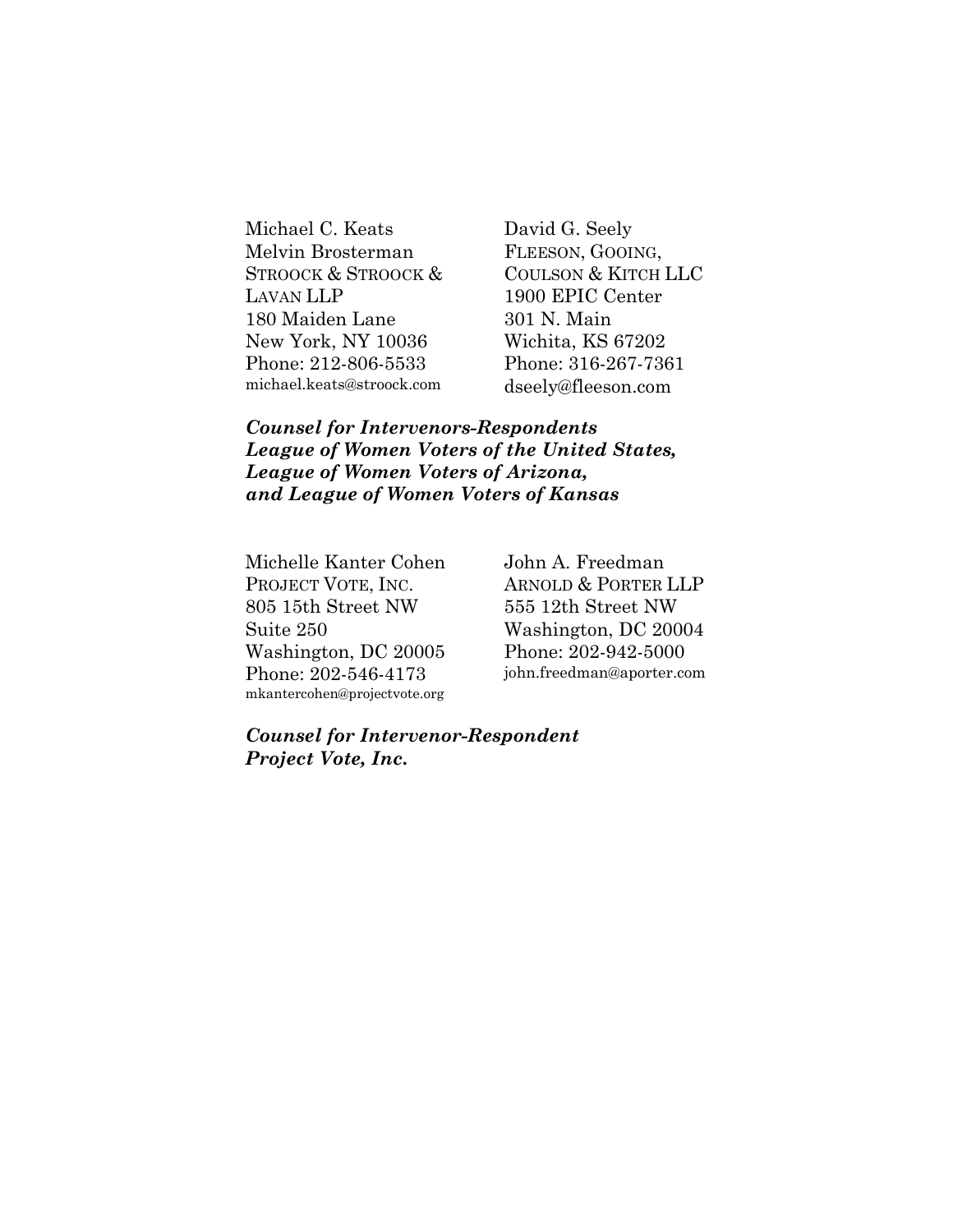Michael C. Keats Melvin Brosterman STROOCK & STROOCK & LAVAN LLP 180 Maiden Lane New York, NY 10036 Phone: 212-806-5533 michael.keats@stroock.com

David G. Seely FLEESON, GOOING, COULSON & KITCH LLC 1900 EPIC Center 301 N. Main Wichita, KS 67202 Phone: 316-267-7361 dseely@fleeson.com

*Counsel for Intervenors-Respondents League of Women Voters of the United States, League of Women Voters of Arizona, and League of Women Voters of Kansas* 

Michelle Kanter Cohen PROJECT VOTE, INC. 805 15th Street NW Suite 250 Washington, DC 20005 Phone: 202-546-4173 mkantercohen@projectvote.org

John A. Freedman ARNOLD & PORTER LLP 555 12th Street NW Washington, DC 20004 Phone: 202-942-5000 john.freedman@aporter.com

*Counsel for Intervenor-Respondent Project Vote, Inc.*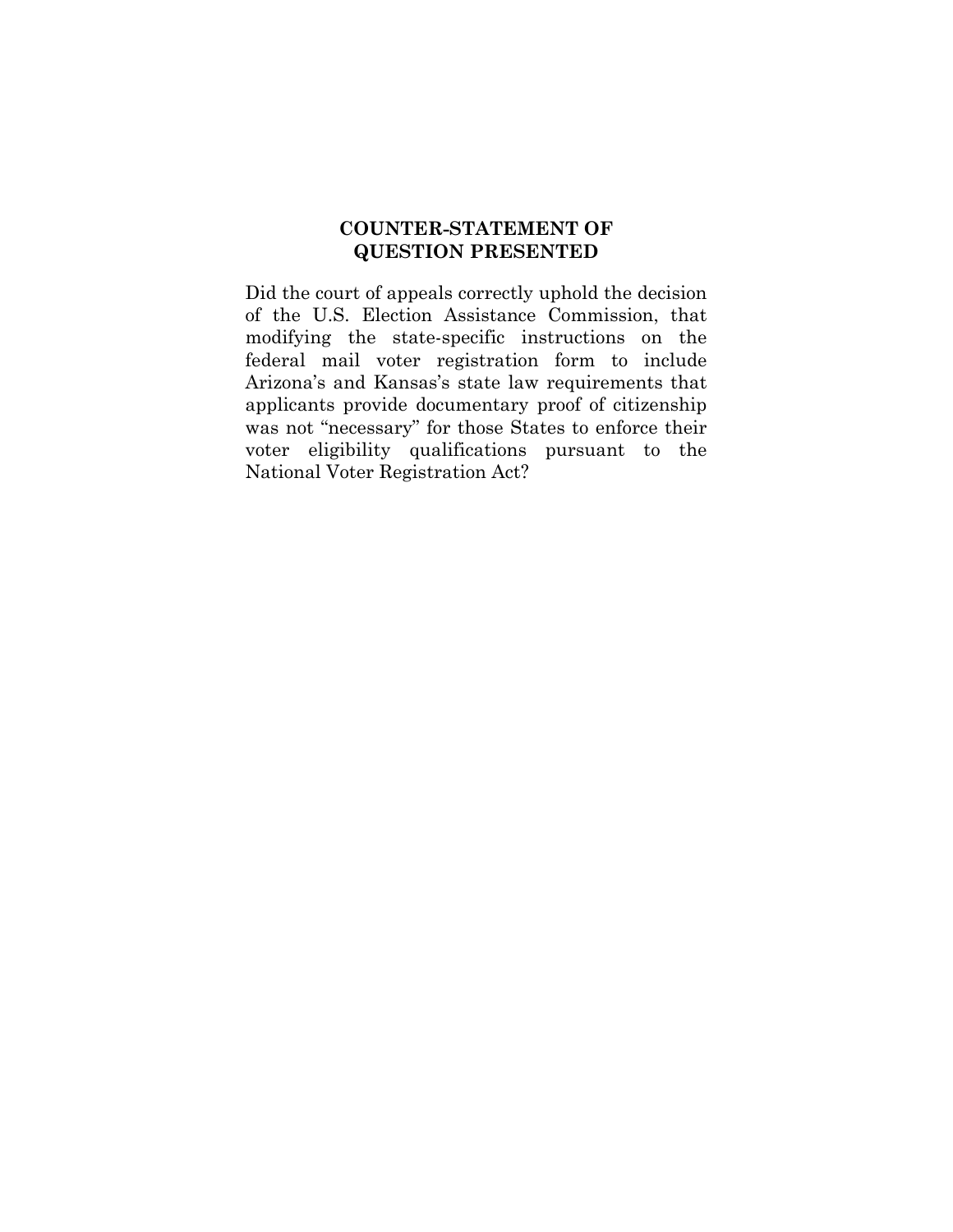## **COUNTER-STATEMENT OF QUESTION PRESENTED**

Did the court of appeals correctly uphold the decision of the U.S. Election Assistance Commission, that modifying the state-specific instructions on the federal mail voter registration form to include Arizona's and Kansas's state law requirements that applicants provide documentary proof of citizenship was not "necessary" for those States to enforce their voter eligibility qualifications pursuant to the National Voter Registration Act?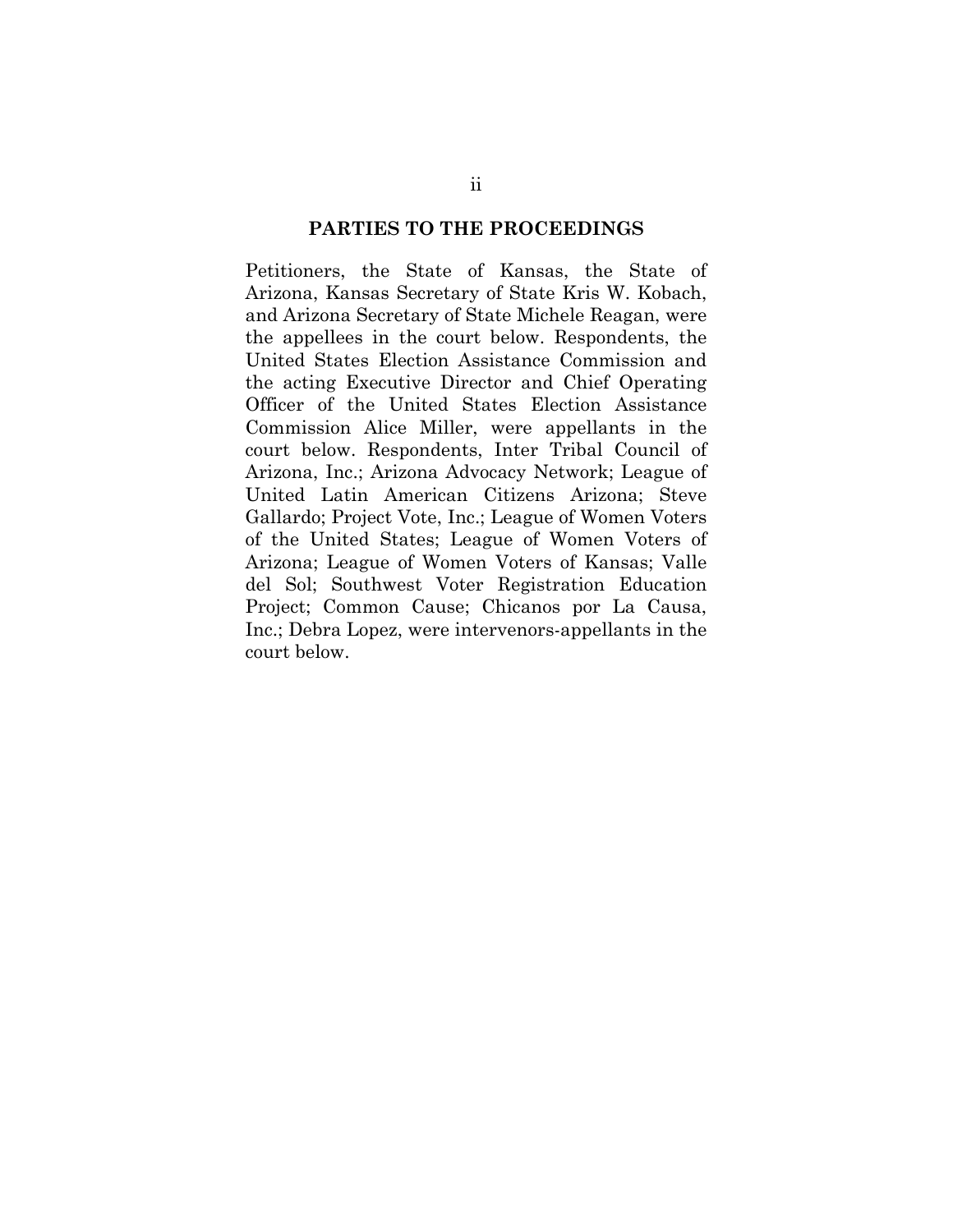#### **PARTIES TO THE PROCEEDINGS**

Petitioners, the State of Kansas, the State of Arizona, Kansas Secretary of State Kris W. Kobach, and Arizona Secretary of State Michele Reagan, were the appellees in the court below. Respondents, the United States Election Assistance Commission and the acting Executive Director and Chief Operating Officer of the United States Election Assistance Commission Alice Miller, were appellants in the court below. Respondents, Inter Tribal Council of Arizona, Inc.; Arizona Advocacy Network; League of United Latin American Citizens Arizona; Steve Gallardo; Project Vote, Inc.; League of Women Voters of the United States; League of Women Voters of Arizona; League of Women Voters of Kansas; Valle del Sol; Southwest Voter Registration Education Project; Common Cause; Chicanos por La Causa, Inc.; Debra Lopez, were intervenors-appellants in the court below.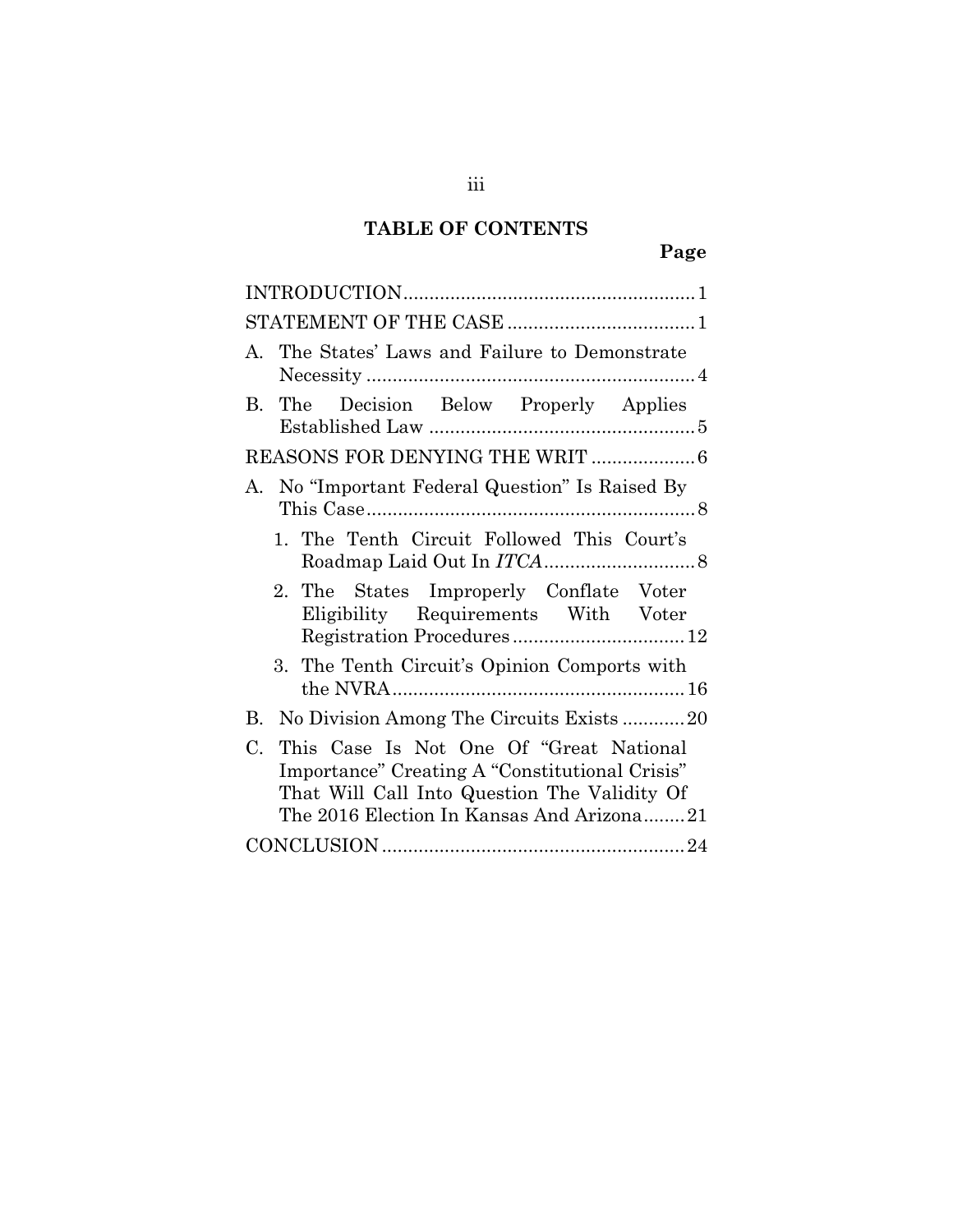# **TABLE OF CONTENTS**

| A. The States' Laws and Failure to Demonstrate                                                                                                                                                        |
|-------------------------------------------------------------------------------------------------------------------------------------------------------------------------------------------------------|
| Decision Below Properly Applies<br>$\bf{B}$<br>The                                                                                                                                                    |
|                                                                                                                                                                                                       |
| No "Important Federal Question" Is Raised By<br>А.                                                                                                                                                    |
| 1. The Tenth Circuit Followed This Court's                                                                                                                                                            |
| 2. The States Improperly Conflate Voter<br>Eligibility Requirements With Voter                                                                                                                        |
| 3. The Tenth Circuit's Opinion Comports with                                                                                                                                                          |
| No Division Among The Circuits Exists20<br>В.                                                                                                                                                         |
| This Case Is Not One Of "Great National<br>$C_{\cdot}$<br>Importance" Creating A "Constitutional Crisis"<br>That Will Call Into Question The Validity Of<br>The 2016 Election In Kansas And Arizona21 |
|                                                                                                                                                                                                       |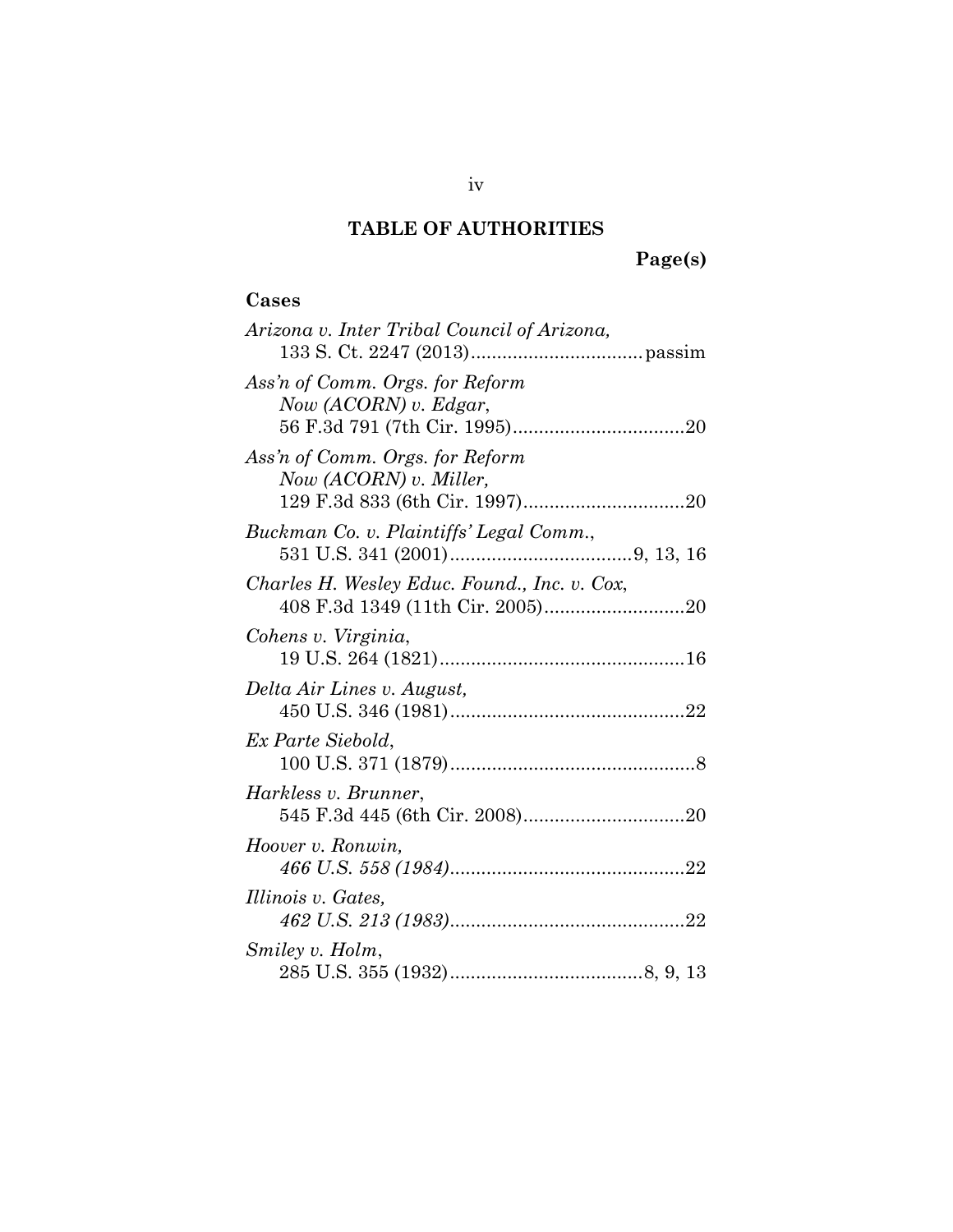# **TABLE OF AUTHORITIES**

# **Page(s)**

# **Cases**

| Arizona v. Inter Tribal Council of Arizona,                 |
|-------------------------------------------------------------|
| Ass'n of Comm. Orgs. for Reform<br>Now (ACORN) $v$ . Edgar, |
| Ass'n of Comm. Orgs. for Reform<br>Now (ACORN) v. Miller,   |
| Buckman Co. v. Plaintiffs' Legal Comm.,                     |
| Charles H. Wesley Educ. Found., Inc. v. Cox,                |
| Cohens v. Virginia,                                         |
| Delta Air Lines v. August,                                  |
| Ex Parte Siebold,                                           |
| Harkless v. Brunner,                                        |
| Hoover v. Ronwin,                                           |
| Illinois v. Gates,                                          |
| Smiley v. Holm,                                             |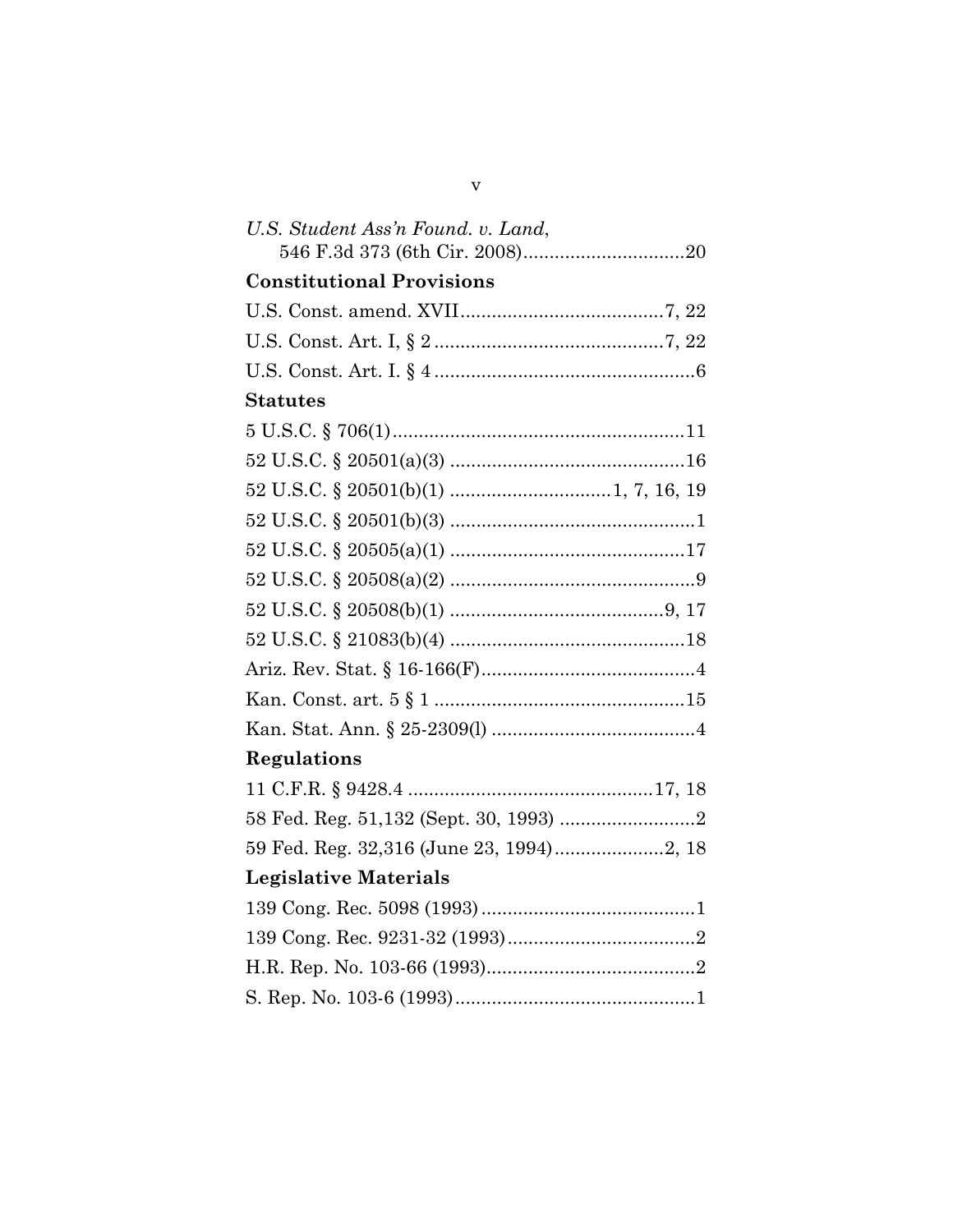| U.S. Student Ass'n Found. v. Land, |  |
|------------------------------------|--|
| <b>Constitutional Provisions</b>   |  |
|                                    |  |
|                                    |  |
|                                    |  |
| <b>Statutes</b>                    |  |
|                                    |  |
|                                    |  |
|                                    |  |
|                                    |  |
|                                    |  |
|                                    |  |
|                                    |  |
|                                    |  |
|                                    |  |
|                                    |  |
|                                    |  |
| Regulations                        |  |
|                                    |  |
|                                    |  |
|                                    |  |
| <b>Legislative Materials</b>       |  |
|                                    |  |
|                                    |  |
|                                    |  |
|                                    |  |

 $\mathbf{V}$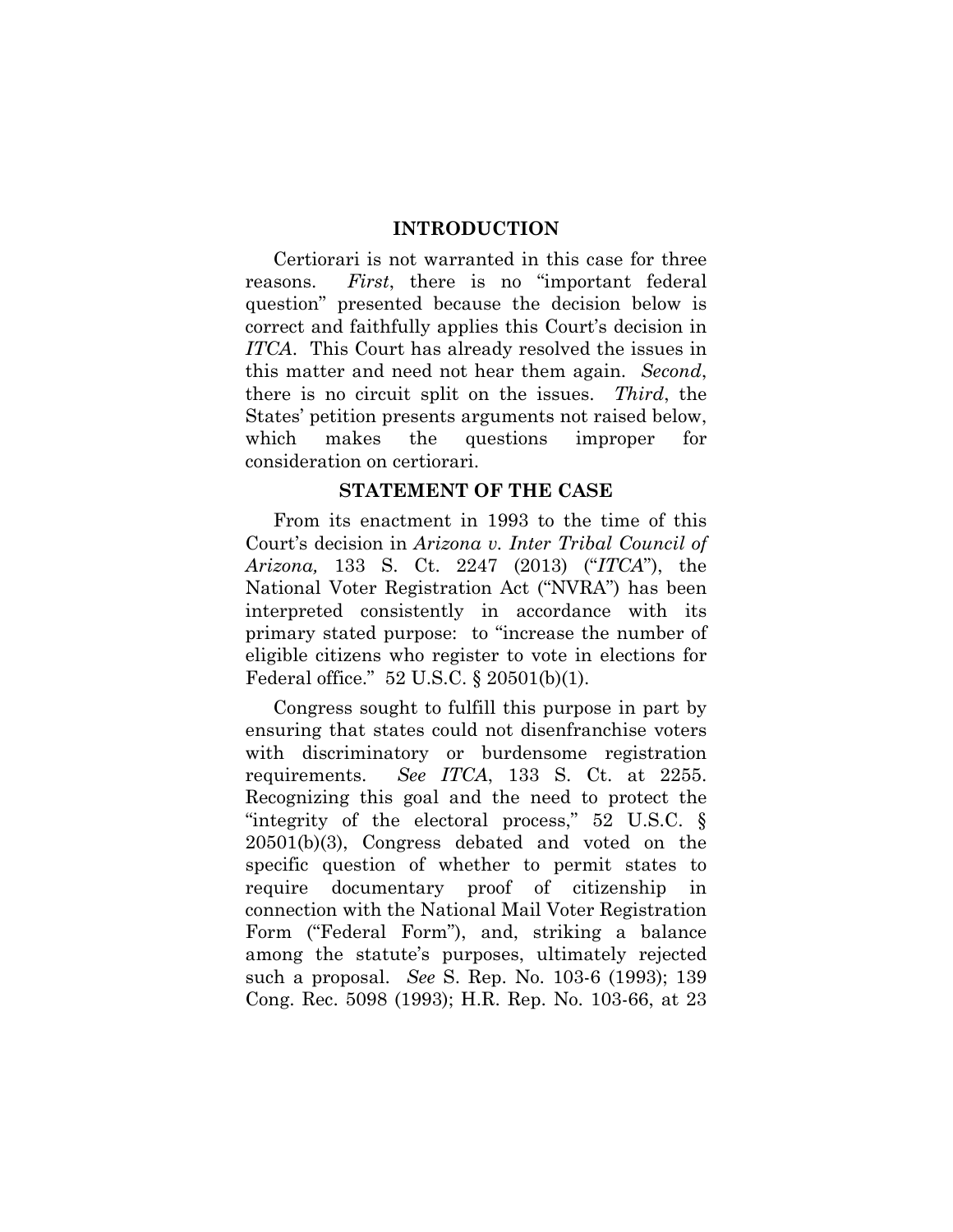#### **INTRODUCTION**

Certiorari is not warranted in this case for three reasons. *First*, there is no "important federal question" presented because the decision below is correct and faithfully applies this Court's decision in *ITCA*. This Court has already resolved the issues in this matter and need not hear them again. *Second*, there is no circuit split on the issues. *Third*, the States' petition presents arguments not raised below, which makes the questions improper for consideration on certiorari.

#### **STATEMENT OF THE CASE**

From its enactment in 1993 to the time of this Court's decision in *Arizona v. Inter Tribal Council of Arizona,* 133 S. Ct. 2247 (2013) ("*ITCA*"), the National Voter Registration Act ("NVRA") has been interpreted consistently in accordance with its primary stated purpose: to "increase the number of eligible citizens who register to vote in elections for Federal office." 52 U.S.C. § 20501(b)(1).

Congress sought to fulfill this purpose in part by ensuring that states could not disenfranchise voters with discriminatory or burdensome registration requirements. *See ITCA*, 133 S. Ct. at 2255. Recognizing this goal and the need to protect the "integrity of the electoral process," 52 U.S.C. § 20501(b)(3), Congress debated and voted on the specific question of whether to permit states to require documentary proof of citizenship in connection with the National Mail Voter Registration Form ("Federal Form"), and, striking a balance among the statute's purposes, ultimately rejected such a proposal. *See* S. Rep. No. 103-6 (1993); 139 Cong. Rec. 5098 (1993); H.R. Rep. No. 103-66, at 23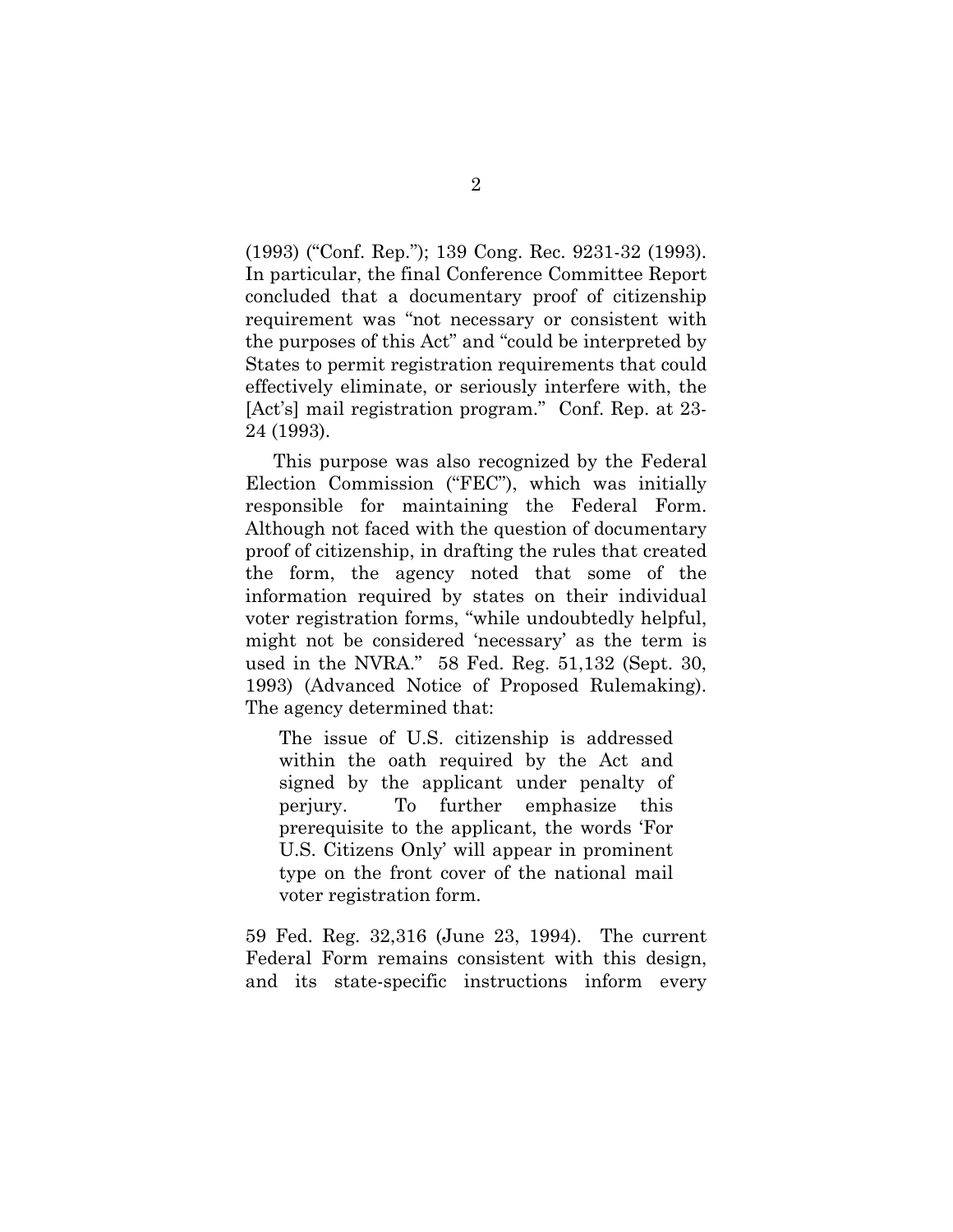(1993) ("Conf. Rep."); 139 Cong. Rec. 9231-32 (1993). In particular, the final Conference Committee Report concluded that a documentary proof of citizenship requirement was "not necessary or consistent with the purposes of this Act" and "could be interpreted by States to permit registration requirements that could effectively eliminate, or seriously interfere with, the [Act's] mail registration program." Conf. Rep. at 23- 24 (1993).

This purpose was also recognized by the Federal Election Commission ("FEC"), which was initially responsible for maintaining the Federal Form. Although not faced with the question of documentary proof of citizenship, in drafting the rules that created the form, the agency noted that some of the information required by states on their individual voter registration forms, "while undoubtedly helpful, might not be considered 'necessary' as the term is used in the NVRA." 58 Fed. Reg. 51,132 (Sept. 30, 1993) (Advanced Notice of Proposed Rulemaking). The agency determined that:

The issue of U.S. citizenship is addressed within the oath required by the Act and signed by the applicant under penalty of perjury. To further emphasize this prerequisite to the applicant, the words 'For U.S. Citizens Only' will appear in prominent type on the front cover of the national mail voter registration form.

59 Fed. Reg. 32,316 (June 23, 1994). The current Federal Form remains consistent with this design, and its state-specific instructions inform every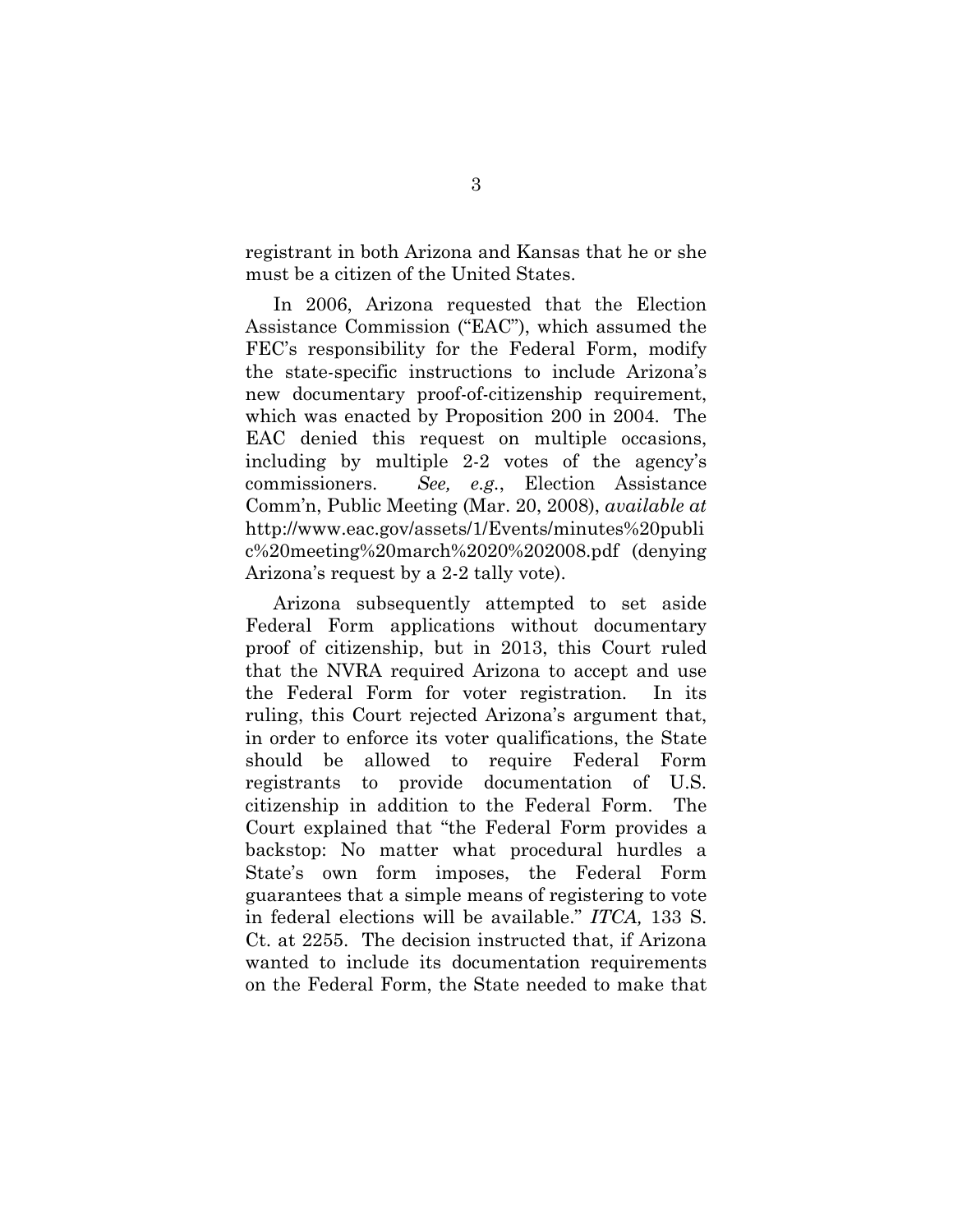registrant in both Arizona and Kansas that he or she must be a citizen of the United States.

In 2006, Arizona requested that the Election Assistance Commission ("EAC"), which assumed the FEC's responsibility for the Federal Form, modify the state-specific instructions to include Arizona's new documentary proof-of-citizenship requirement, which was enacted by Proposition 200 in 2004. The EAC denied this request on multiple occasions, including by multiple 2-2 votes of the agency's commissioners. *See, e.g.*, Election Assistance Comm'n, Public Meeting (Mar. 20, 2008), *available at* http://www.eac.gov/assets/1/Events/minutes%20publi c%20meeting%20march%2020%202008.pdf (denying Arizona's request by a 2-2 tally vote).

Arizona subsequently attempted to set aside Federal Form applications without documentary proof of citizenship, but in 2013, this Court ruled that the NVRA required Arizona to accept and use the Federal Form for voter registration. In its ruling, this Court rejected Arizona's argument that, in order to enforce its voter qualifications, the State should be allowed to require Federal Form registrants to provide documentation of U.S. citizenship in addition to the Federal Form. The Court explained that "the Federal Form provides a backstop: No matter what procedural hurdles a State's own form imposes, the Federal Form guarantees that a simple means of registering to vote in federal elections will be available." *ITCA,* 133 S. Ct. at 2255. The decision instructed that, if Arizona wanted to include its documentation requirements on the Federal Form, the State needed to make that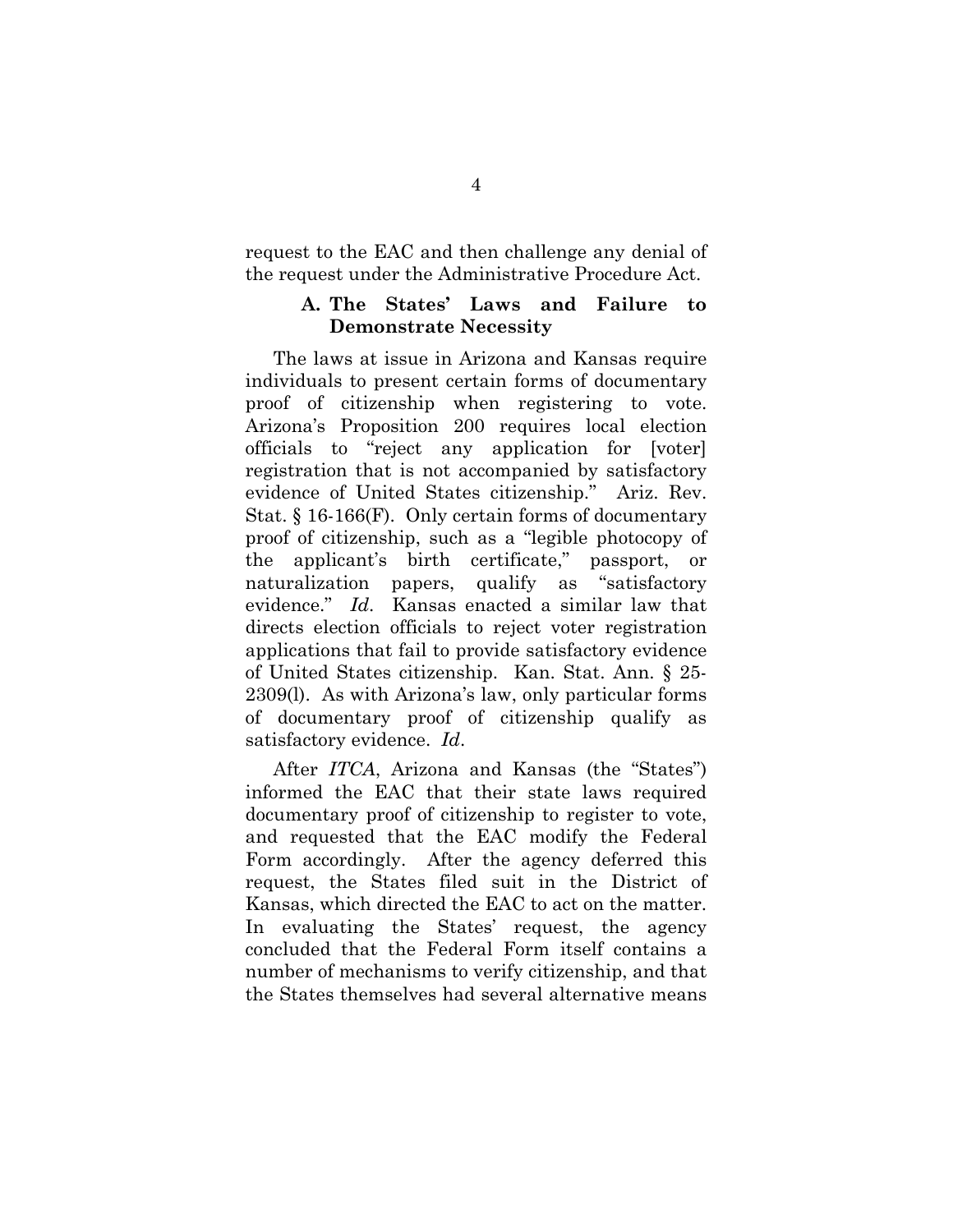request to the EAC and then challenge any denial of the request under the Administrative Procedure Act.

#### **A. The States' Laws and Failure to Demonstrate Necessity**

The laws at issue in Arizona and Kansas require individuals to present certain forms of documentary proof of citizenship when registering to vote. Arizona's Proposition 200 requires local election officials to "reject any application for [voter] registration that is not accompanied by satisfactory evidence of United States citizenship." Ariz. Rev. Stat. § 16-166(F). Only certain forms of documentary proof of citizenship, such as a "legible photocopy of the applicant's birth certificate," passport, or naturalization papers, qualify as "satisfactory evidence." *Id*. Kansas enacted a similar law that directs election officials to reject voter registration applications that fail to provide satisfactory evidence of United States citizenship. Kan. Stat. Ann. § 25- 2309(l). As with Arizona's law, only particular forms of documentary proof of citizenship qualify as satisfactory evidence. *Id*.

After *ITCA*, Arizona and Kansas (the "States") informed the EAC that their state laws required documentary proof of citizenship to register to vote, and requested that the EAC modify the Federal Form accordingly. After the agency deferred this request, the States filed suit in the District of Kansas, which directed the EAC to act on the matter. In evaluating the States' request, the agency concluded that the Federal Form itself contains a number of mechanisms to verify citizenship, and that the States themselves had several alternative means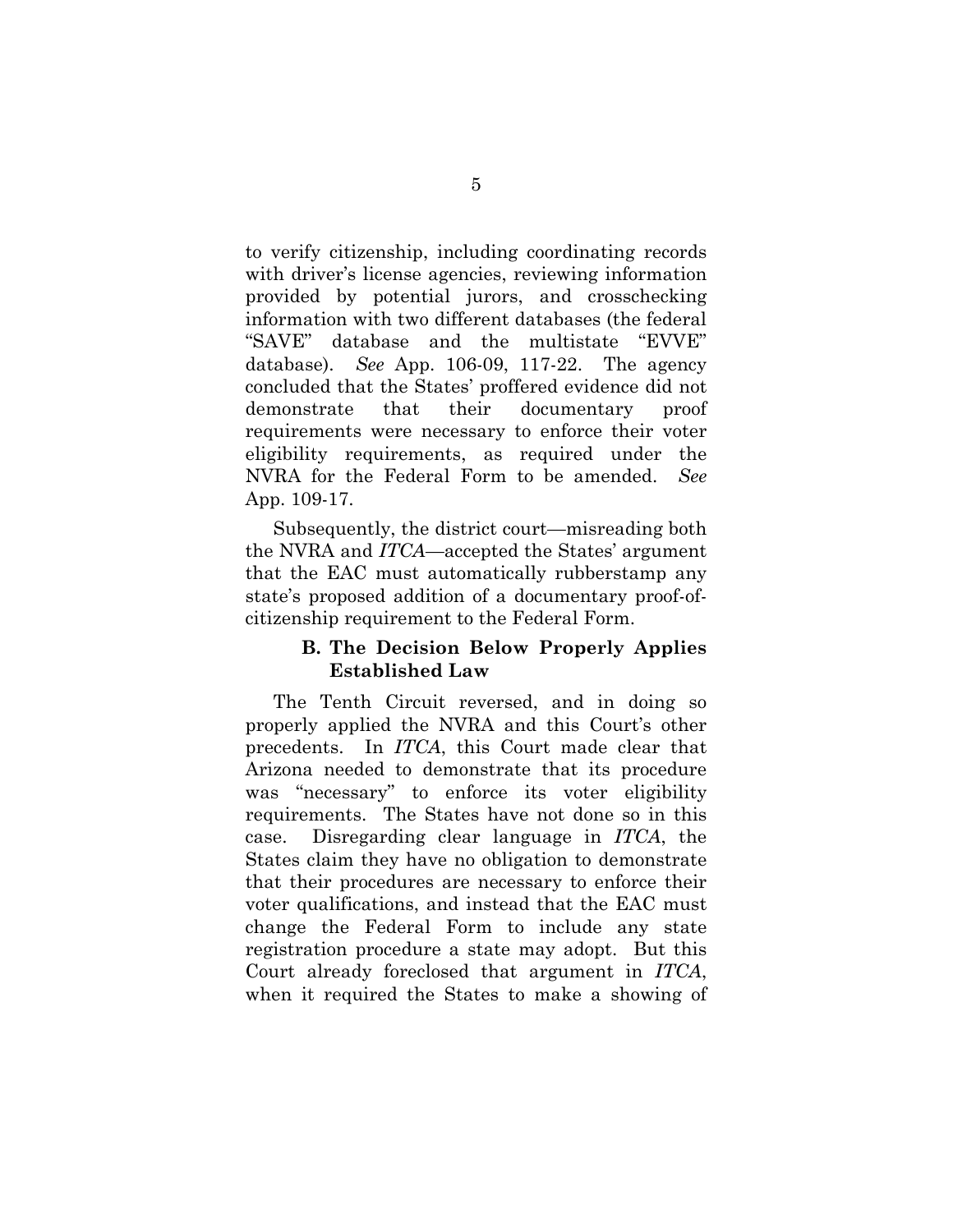to verify citizenship, including coordinating records with driver's license agencies, reviewing information provided by potential jurors, and crosschecking information with two different databases (the federal "SAVE" database and the multistate "EVVE" database). *See* App. 106-09, 117-22. The agency concluded that the States' proffered evidence did not demonstrate that their documentary proof requirements were necessary to enforce their voter eligibility requirements, as required under the NVRA for the Federal Form to be amended. *See* App. 109-17.

Subsequently, the district court—misreading both the NVRA and *ITCA*—accepted the States' argument that the EAC must automatically rubberstamp any state's proposed addition of a documentary proof-ofcitizenship requirement to the Federal Form.

# **B. The Decision Below Properly Applies Established Law**

The Tenth Circuit reversed, and in doing so properly applied the NVRA and this Court's other precedents. In *ITCA*, this Court made clear that Arizona needed to demonstrate that its procedure was "necessary" to enforce its voter eligibility requirements. The States have not done so in this case. Disregarding clear language in *ITCA*, the States claim they have no obligation to demonstrate that their procedures are necessary to enforce their voter qualifications, and instead that the EAC must change the Federal Form to include any state registration procedure a state may adopt. But this Court already foreclosed that argument in *ITCA*, when it required the States to make a showing of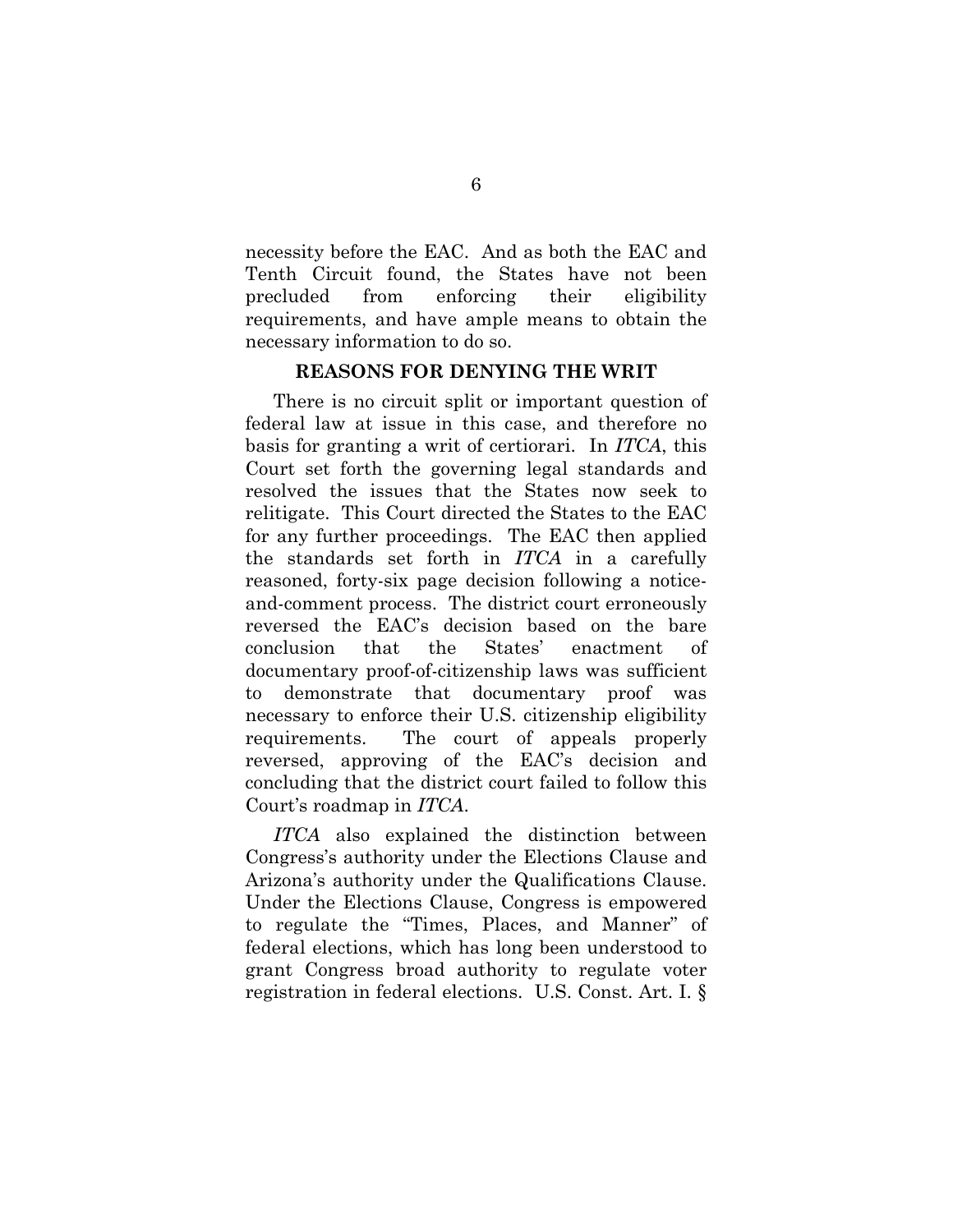necessity before the EAC. And as both the EAC and Tenth Circuit found, the States have not been precluded from enforcing their eligibility requirements, and have ample means to obtain the necessary information to do so.

#### **REASONS FOR DENYING THE WRIT**

There is no circuit split or important question of federal law at issue in this case, and therefore no basis for granting a writ of certiorari. In *ITCA*, this Court set forth the governing legal standards and resolved the issues that the States now seek to relitigate. This Court directed the States to the EAC for any further proceedings. The EAC then applied the standards set forth in *ITCA* in a carefully reasoned, forty-six page decision following a noticeand-comment process. The district court erroneously reversed the EAC's decision based on the bare conclusion that the States' enactment of documentary proof-of-citizenship laws was sufficient to demonstrate that documentary proof was necessary to enforce their U.S. citizenship eligibility requirements. The court of appeals properly reversed, approving of the EAC's decision and concluding that the district court failed to follow this Court's roadmap in *ITCA*.

*ITCA* also explained the distinction between Congress's authority under the Elections Clause and Arizona's authority under the Qualifications Clause. Under the Elections Clause, Congress is empowered to regulate the "Times, Places, and Manner" of federal elections, which has long been understood to grant Congress broad authority to regulate voter registration in federal elections. U.S. Const. Art. I. §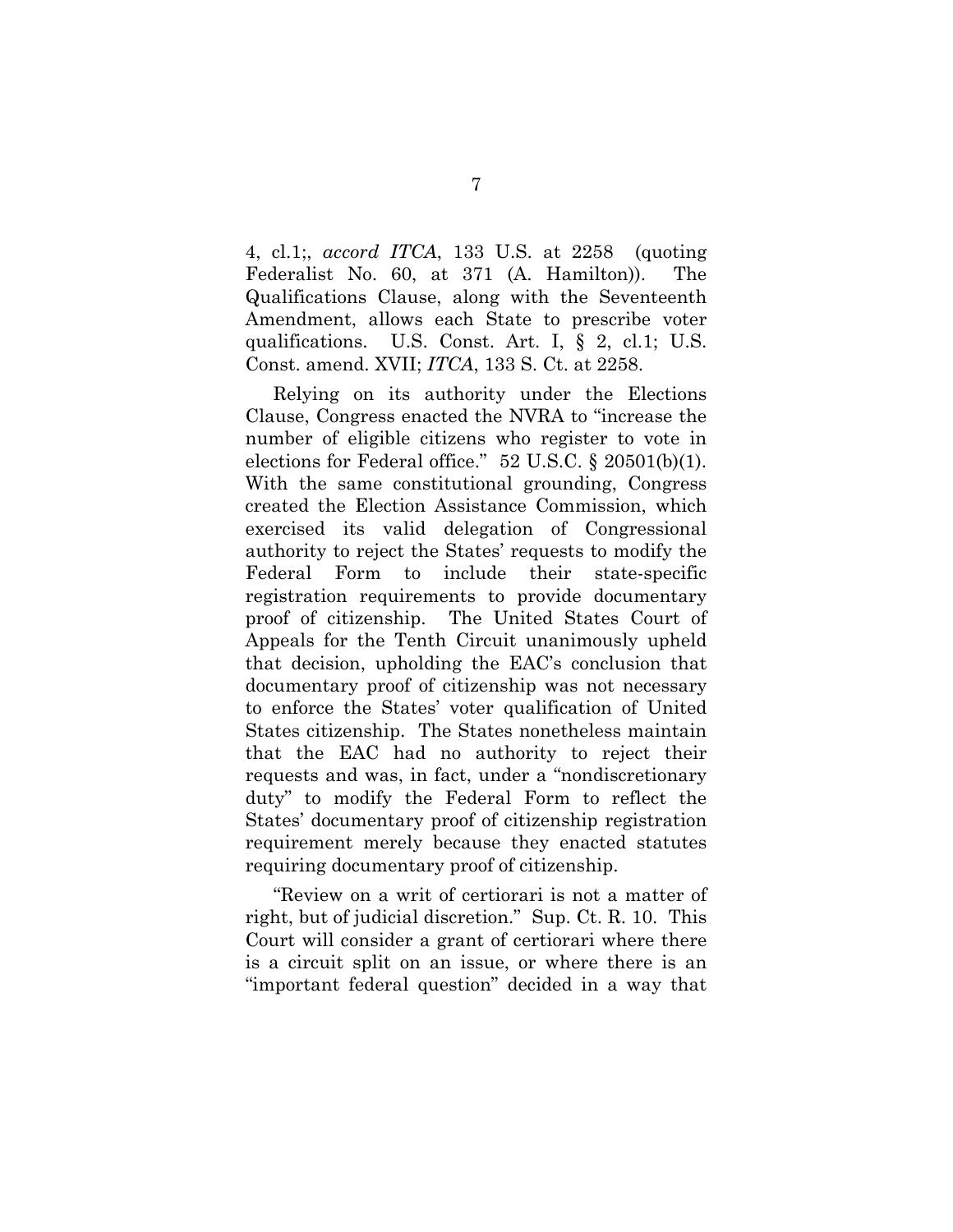4, cl.1;, *accord ITCA*, 133 U.S. at 2258 (quoting Federalist No. 60, at 371 (A. Hamilton)). The Qualifications Clause, along with the Seventeenth Amendment, allows each State to prescribe voter qualifications. U.S. Const. Art. I, § 2, cl.1; U.S. Const. amend. XVII; *ITCA*, 133 S. Ct. at 2258.

Relying on its authority under the Elections Clause, Congress enacted the NVRA to "increase the number of eligible citizens who register to vote in elections for Federal office." 52 U.S.C. § 20501(b)(1). With the same constitutional grounding, Congress created the Election Assistance Commission, which exercised its valid delegation of Congressional authority to reject the States' requests to modify the Federal Form to include their state-specific registration requirements to provide documentary proof of citizenship. The United States Court of Appeals for the Tenth Circuit unanimously upheld that decision, upholding the EAC's conclusion that documentary proof of citizenship was not necessary to enforce the States' voter qualification of United States citizenship. The States nonetheless maintain that the EAC had no authority to reject their requests and was, in fact, under a "nondiscretionary duty" to modify the Federal Form to reflect the States' documentary proof of citizenship registration requirement merely because they enacted statutes requiring documentary proof of citizenship.

"Review on a writ of certiorari is not a matter of right, but of judicial discretion." Sup. Ct. R. 10. This Court will consider a grant of certiorari where there is a circuit split on an issue, or where there is an "important federal question" decided in a way that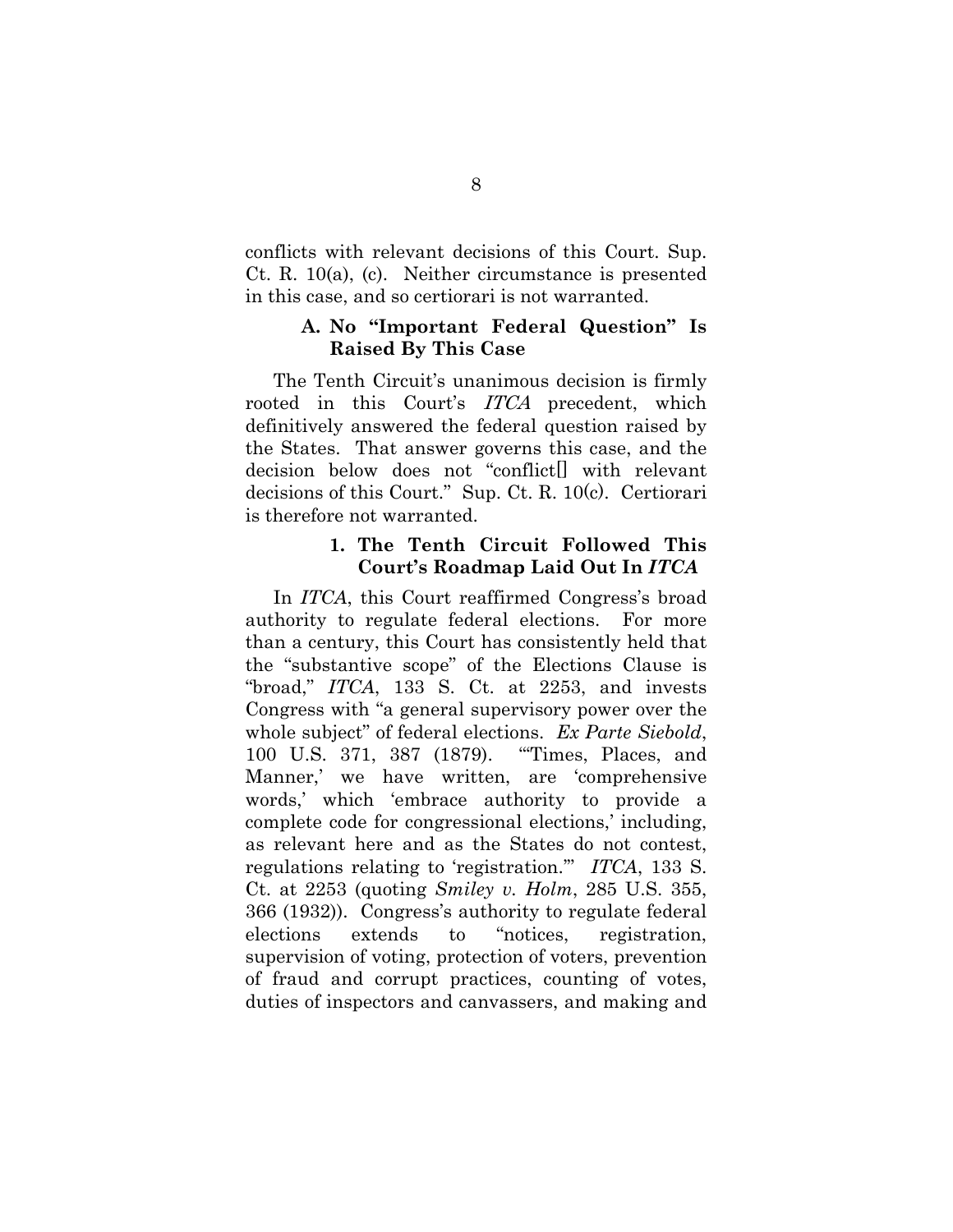conflicts with relevant decisions of this Court. Sup. Ct. R. 10(a), (c). Neither circumstance is presented in this case, and so certiorari is not warranted.

# **A. No "Important Federal Question" Is Raised By This Case**

The Tenth Circuit's unanimous decision is firmly rooted in this Court's ITCA precedent, which definitively answered the federal question raised by the States. That answer governs this case, and the decision below does not "conflict[] with relevant decisions of this Court." Sup. Ct. R. 10(c). Certiorari is therefore not warranted.

#### **1. The Tenth Circuit Followed This Court's Roadmap Laid Out In** *ITCA*

In *ITCA*, this Court reaffirmed Congress's broad authority to regulate federal elections. For more than a century, this Court has consistently held that the "substantive scope" of the Elections Clause is "broad," *ITCA*, 133 S. Ct. at 2253, and invests Congress with "a general supervisory power over the whole subject" of federal elections. *Ex Parte Siebold*, 100 U.S. 371, 387 (1879). "'Times, Places, and Manner,' we have written, are 'comprehensive words,' which 'embrace authority to provide a complete code for congressional elections,' including, as relevant here and as the States do not contest, regulations relating to 'registration.'" *ITCA*, 133 S. Ct. at 2253 (quoting *Smiley v. Holm*, 285 U.S. 355, 366 (1932)). Congress's authority to regulate federal elections extends to "notices, registration, supervision of voting, protection of voters, prevention of fraud and corrupt practices, counting of votes, duties of inspectors and canvassers, and making and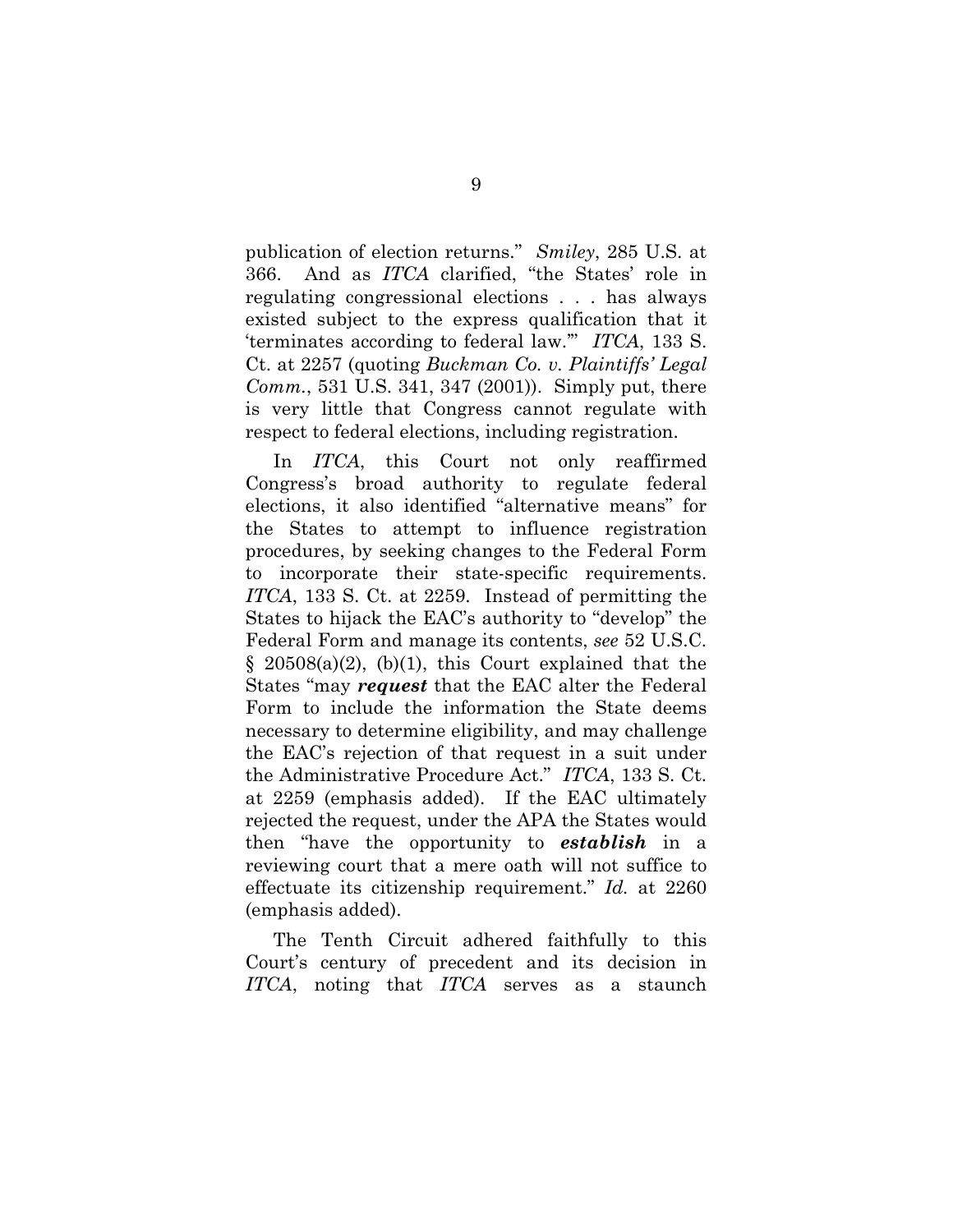publication of election returns." *Smiley*, 285 U.S. at 366. And as *ITCA* clarified, "the States' role in regulating congressional elections . . . has always existed subject to the express qualification that it 'terminates according to federal law.'" *ITCA*, 133 S. Ct. at 2257 (quoting *Buckman Co. v. Plaintiffs' Legal Comm.*, 531 U.S. 341, 347 (2001)). Simply put, there is very little that Congress cannot regulate with respect to federal elections, including registration.

In *ITCA*, this Court not only reaffirmed Congress's broad authority to regulate federal elections, it also identified "alternative means" for the States to attempt to influence registration procedures, by seeking changes to the Federal Form to incorporate their state-specific requirements. *ITCA*, 133 S. Ct. at 2259. Instead of permitting the States to hijack the EAC's authority to "develop" the Federal Form and manage its contents, *see* 52 U.S.C.  $§$  20508(a)(2), (b)(1), this Court explained that the States "may *request* that the EAC alter the Federal Form to include the information the State deems necessary to determine eligibility, and may challenge the EAC's rejection of that request in a suit under the Administrative Procedure Act." *ITCA*, 133 S. Ct. at 2259 (emphasis added). If the EAC ultimately rejected the request, under the APA the States would then "have the opportunity to *establish* in a reviewing court that a mere oath will not suffice to effectuate its citizenship requirement." *Id.* at 2260 (emphasis added).

The Tenth Circuit adhered faithfully to this Court's century of precedent and its decision in *ITCA*, noting that *ITCA* serves as a staunch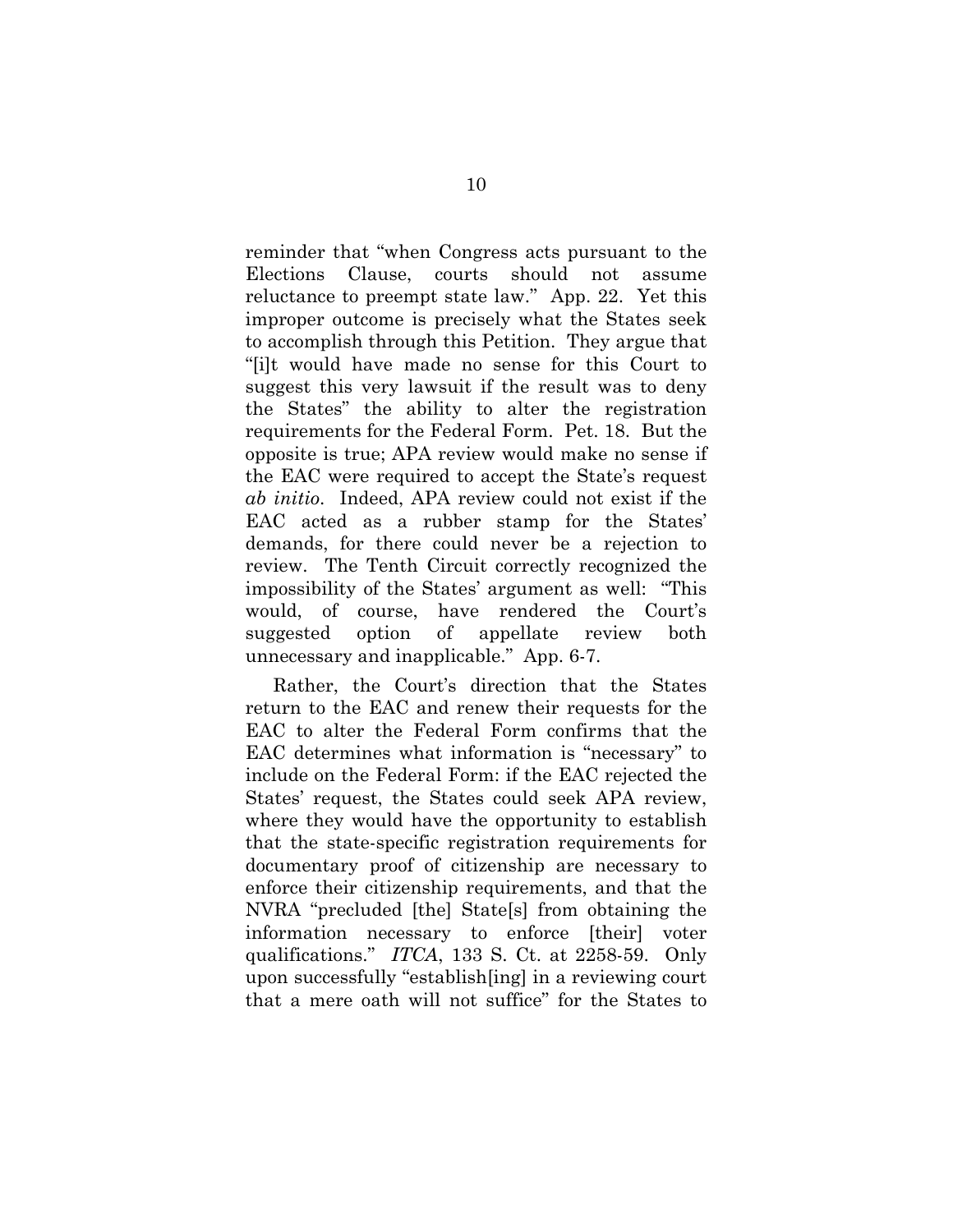reminder that "when Congress acts pursuant to the Elections Clause, courts should not assume reluctance to preempt state law." App. 22. Yet this improper outcome is precisely what the States seek to accomplish through this Petition. They argue that "[i]t would have made no sense for this Court to suggest this very lawsuit if the result was to deny the States" the ability to alter the registration requirements for the Federal Form. Pet. 18. But the opposite is true; APA review would make no sense if the EAC were required to accept the State's request *ab initio*. Indeed, APA review could not exist if the EAC acted as a rubber stamp for the States' demands, for there could never be a rejection to review. The Tenth Circuit correctly recognized the impossibility of the States' argument as well: "This would, of course, have rendered the Court's suggested option of appellate review both unnecessary and inapplicable." App. 6-7.

Rather, the Court's direction that the States return to the EAC and renew their requests for the EAC to alter the Federal Form confirms that the EAC determines what information is "necessary" to include on the Federal Form: if the EAC rejected the States' request, the States could seek APA review, where they would have the opportunity to establish that the state-specific registration requirements for documentary proof of citizenship are necessary to enforce their citizenship requirements, and that the NVRA "precluded [the] State[s] from obtaining the information necessary to enforce [their] voter qualifications." *ITCA*, 133 S. Ct. at 2258-59. Only upon successfully "establish[ing] in a reviewing court that a mere oath will not suffice" for the States to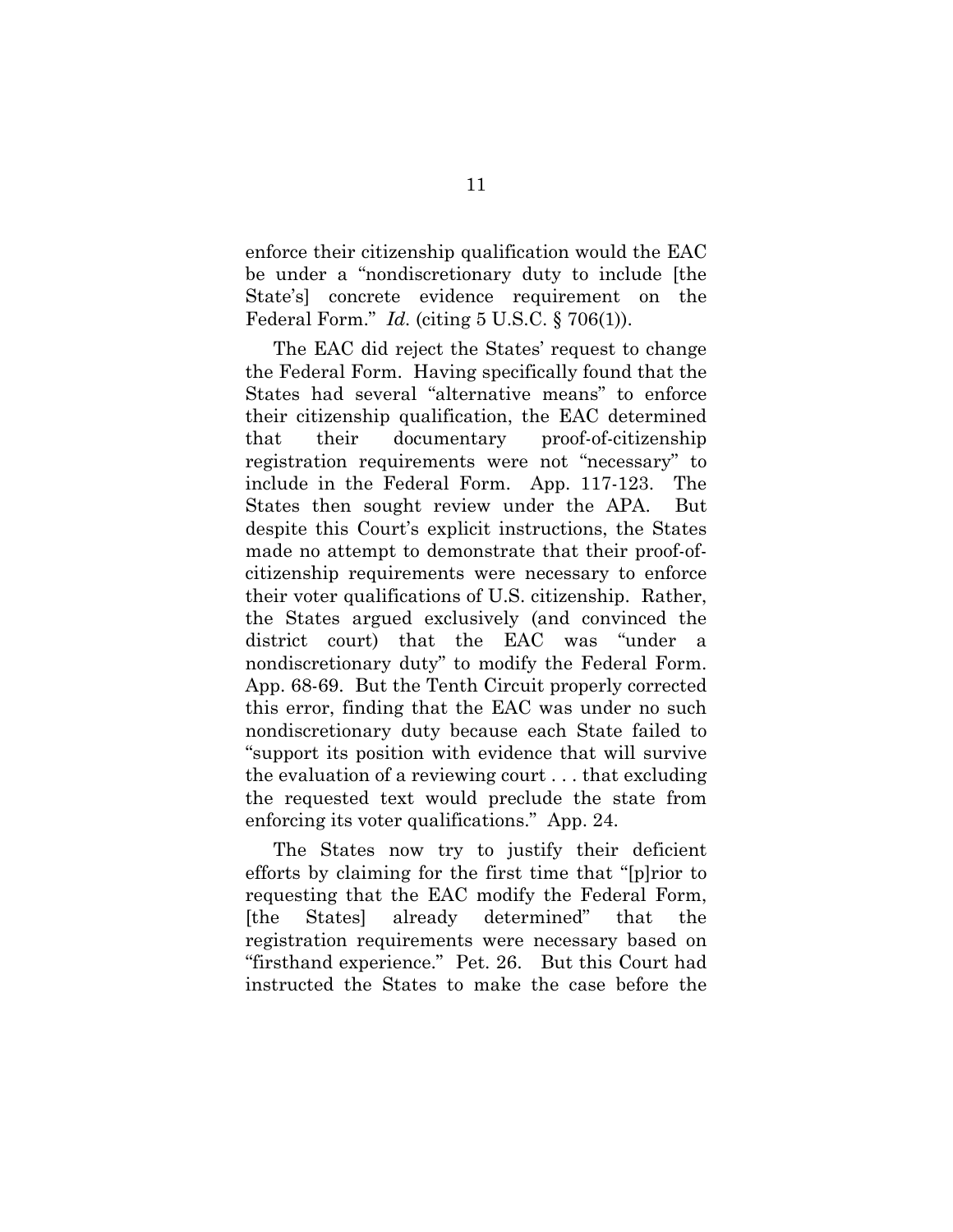enforce their citizenship qualification would the EAC be under a "nondiscretionary duty to include [the State's] concrete evidence requirement on the Federal Form." *Id.* (citing 5 U.S.C. § 706(1)).

The EAC did reject the States' request to change the Federal Form. Having specifically found that the States had several "alternative means" to enforce their citizenship qualification, the EAC determined that their documentary proof-of-citizenship registration requirements were not "necessary" to include in the Federal Form. App. 117-123. The States then sought review under the APA. But despite this Court's explicit instructions, the States made no attempt to demonstrate that their proof-ofcitizenship requirements were necessary to enforce their voter qualifications of U.S. citizenship. Rather, the States argued exclusively (and convinced the district court) that the EAC was "under a nondiscretionary duty" to modify the Federal Form. App. 68-69. But the Tenth Circuit properly corrected this error, finding that the EAC was under no such nondiscretionary duty because each State failed to "support its position with evidence that will survive the evaluation of a reviewing court . . . that excluding the requested text would preclude the state from enforcing its voter qualifications." App. 24.

The States now try to justify their deficient efforts by claiming for the first time that "[p]rior to requesting that the EAC modify the Federal Form, [the States] already determined" that the registration requirements were necessary based on "firsthand experience." Pet. 26. But this Court had instructed the States to make the case before the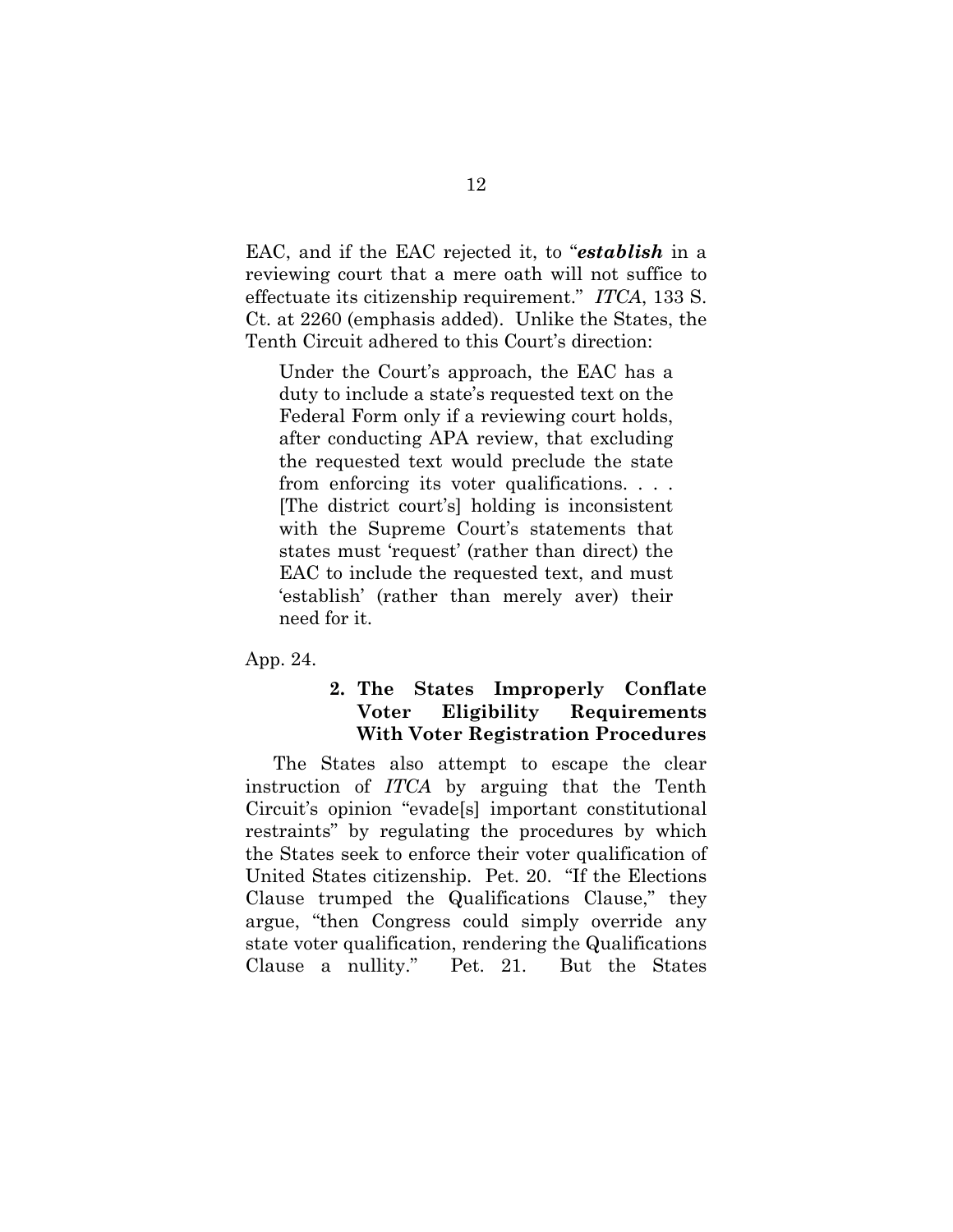EAC, and if the EAC rejected it, to "*establish* in a reviewing court that a mere oath will not suffice to effectuate its citizenship requirement." *ITCA*, 133 S. Ct. at 2260 (emphasis added). Unlike the States, the Tenth Circuit adhered to this Court's direction:

Under the Court's approach, the EAC has a duty to include a state's requested text on the Federal Form only if a reviewing court holds, after conducting APA review, that excluding the requested text would preclude the state from enforcing its voter qualifications. . . . [The district court's] holding is inconsistent with the Supreme Court's statements that states must 'request' (rather than direct) the EAC to include the requested text, and must 'establish' (rather than merely aver) their need for it.

App. 24.

# **2. The States Improperly Conflate Voter Eligibility Requirements With Voter Registration Procedures**

The States also attempt to escape the clear instruction of *ITCA* by arguing that the Tenth Circuit's opinion "evade[s] important constitutional restraints" by regulating the procedures by which the States seek to enforce their voter qualification of United States citizenship. Pet. 20. "If the Elections Clause trumped the Qualifications Clause," they argue, "then Congress could simply override any state voter qualification, rendering the Qualifications Clause a nullity." Pet. 21. But the States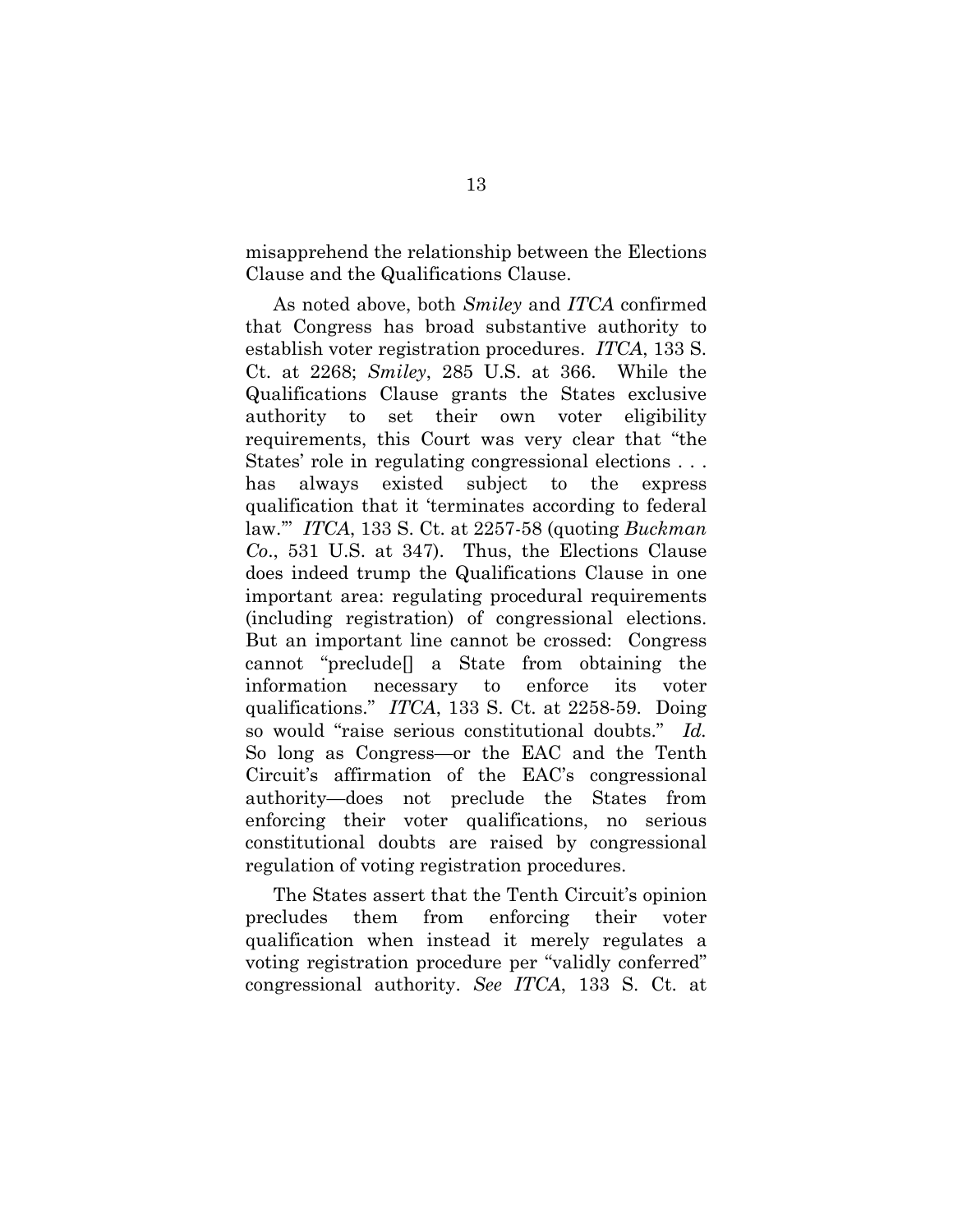misapprehend the relationship between the Elections Clause and the Qualifications Clause.

As noted above, both *Smiley* and *ITCA* confirmed that Congress has broad substantive authority to establish voter registration procedures. *ITCA*, 133 S. Ct. at 2268; *Smiley*, 285 U.S. at 366. While the Qualifications Clause grants the States exclusive authority to set their own voter eligibility requirements, this Court was very clear that "the States' role in regulating congressional elections . . . has always existed subject to the express qualification that it 'terminates according to federal law.'" *ITCA*, 133 S. Ct. at 2257-58 (quoting *Buckman Co*., 531 U.S. at 347). Thus, the Elections Clause does indeed trump the Qualifications Clause in one important area: regulating procedural requirements (including registration) of congressional elections. But an important line cannot be crossed: Congress cannot "preclude[] a State from obtaining the information necessary to enforce its voter qualifications." *ITCA*, 133 S. Ct. at 2258-59. Doing so would "raise serious constitutional doubts." *Id.* So long as Congress—or the EAC and the Tenth Circuit's affirmation of the EAC's congressional authority—does not preclude the States from enforcing their voter qualifications, no serious constitutional doubts are raised by congressional regulation of voting registration procedures.

The States assert that the Tenth Circuit's opinion precludes them from enforcing their voter qualification when instead it merely regulates a voting registration procedure per "validly conferred" congressional authority. *See ITCA*, 133 S. Ct. at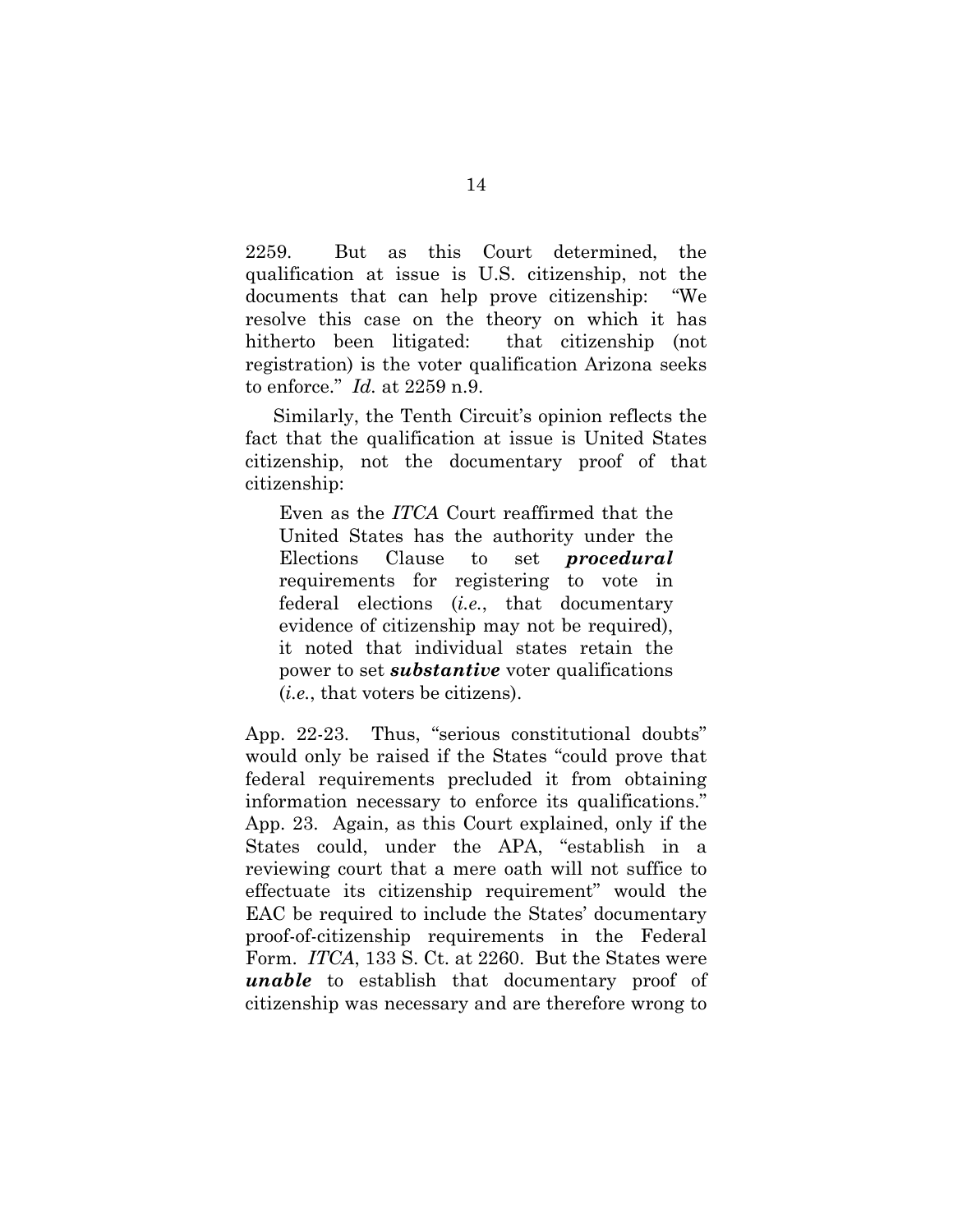2259. But as this Court determined, the qualification at issue is U.S. citizenship, not the documents that can help prove citizenship: "We resolve this case on the theory on which it has hitherto been litigated: that citizenship (not registration) is the voter qualification Arizona seeks to enforce." *Id.* at 2259 n.9.

Similarly, the Tenth Circuit's opinion reflects the fact that the qualification at issue is United States citizenship, not the documentary proof of that citizenship:

Even as the *ITCA* Court reaffirmed that the United States has the authority under the Elections Clause to set *procedural* requirements for registering to vote in federal elections (*i.e.*, that documentary evidence of citizenship may not be required), it noted that individual states retain the power to set *substantive* voter qualifications (*i.e.*, that voters be citizens).

App. 22-23. Thus, "serious constitutional doubts" would only be raised if the States "could prove that federal requirements precluded it from obtaining information necessary to enforce its qualifications." App. 23. Again, as this Court explained, only if the States could, under the APA, "establish in a reviewing court that a mere oath will not suffice to effectuate its citizenship requirement" would the EAC be required to include the States' documentary proof-of-citizenship requirements in the Federal Form. *ITCA*, 133 S. Ct. at 2260. But the States were *unable* to establish that documentary proof of citizenship was necessary and are therefore wrong to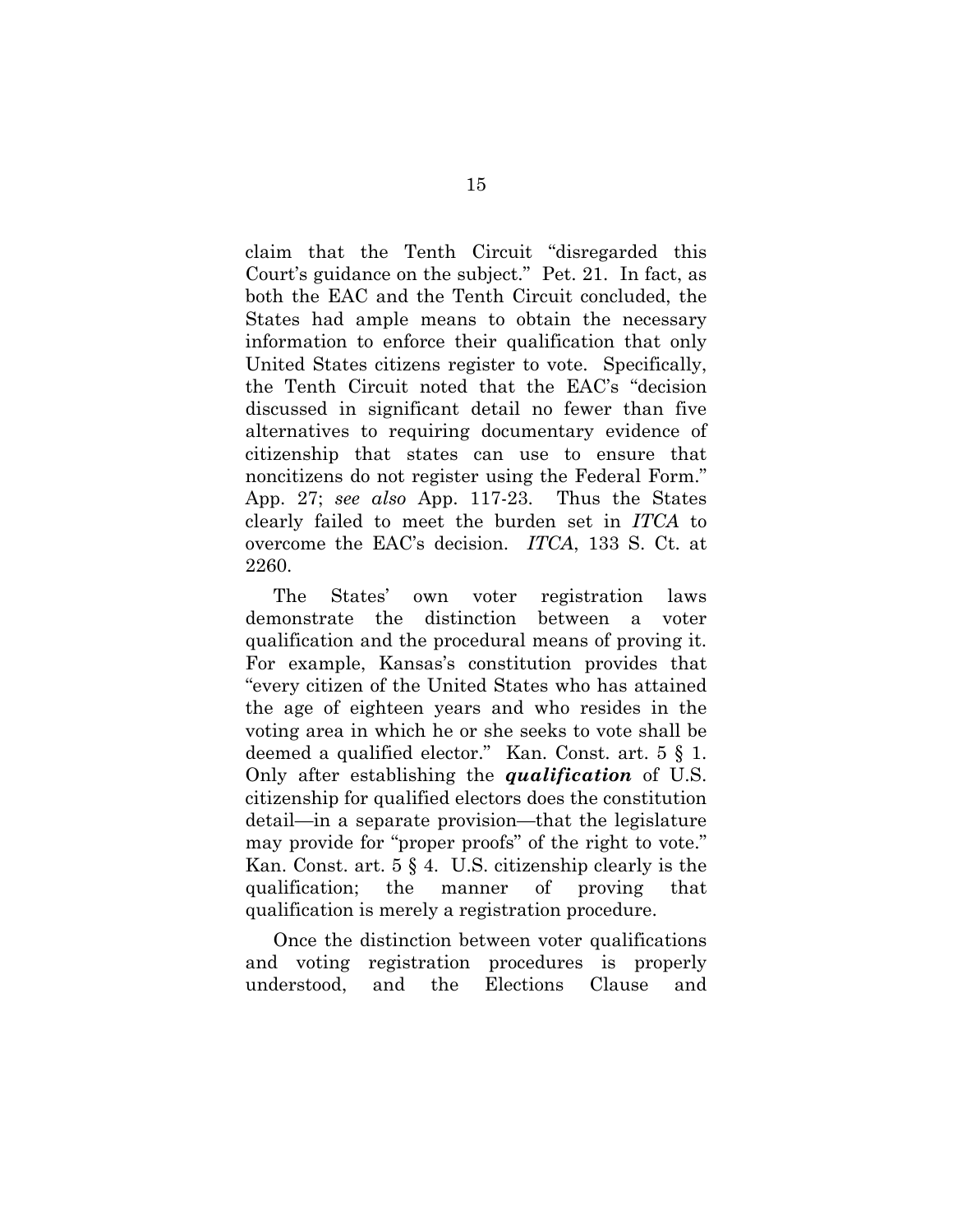claim that the Tenth Circuit "disregarded this Court's guidance on the subject." Pet. 21. In fact, as both the EAC and the Tenth Circuit concluded, the States had ample means to obtain the necessary information to enforce their qualification that only United States citizens register to vote. Specifically, the Tenth Circuit noted that the EAC's "decision discussed in significant detail no fewer than five alternatives to requiring documentary evidence of citizenship that states can use to ensure that noncitizens do not register using the Federal Form." App. 27; *see also* App. 117-23. Thus the States clearly failed to meet the burden set in *ITCA* to overcome the EAC's decision. *ITCA*, 133 S. Ct. at 2260.

The States' own voter registration laws demonstrate the distinction between a voter qualification and the procedural means of proving it. For example, Kansas's constitution provides that "every citizen of the United States who has attained the age of eighteen years and who resides in the voting area in which he or she seeks to vote shall be deemed a qualified elector." Kan. Const. art. 5 § 1. Only after establishing the *qualification* of U.S. citizenship for qualified electors does the constitution detail—in a separate provision—that the legislature may provide for "proper proofs" of the right to vote." Kan. Const. art. 5 § 4. U.S. citizenship clearly is the qualification; the manner of proving that qualification is merely a registration procedure.

Once the distinction between voter qualifications and voting registration procedures is properly understood, and the Elections Clause and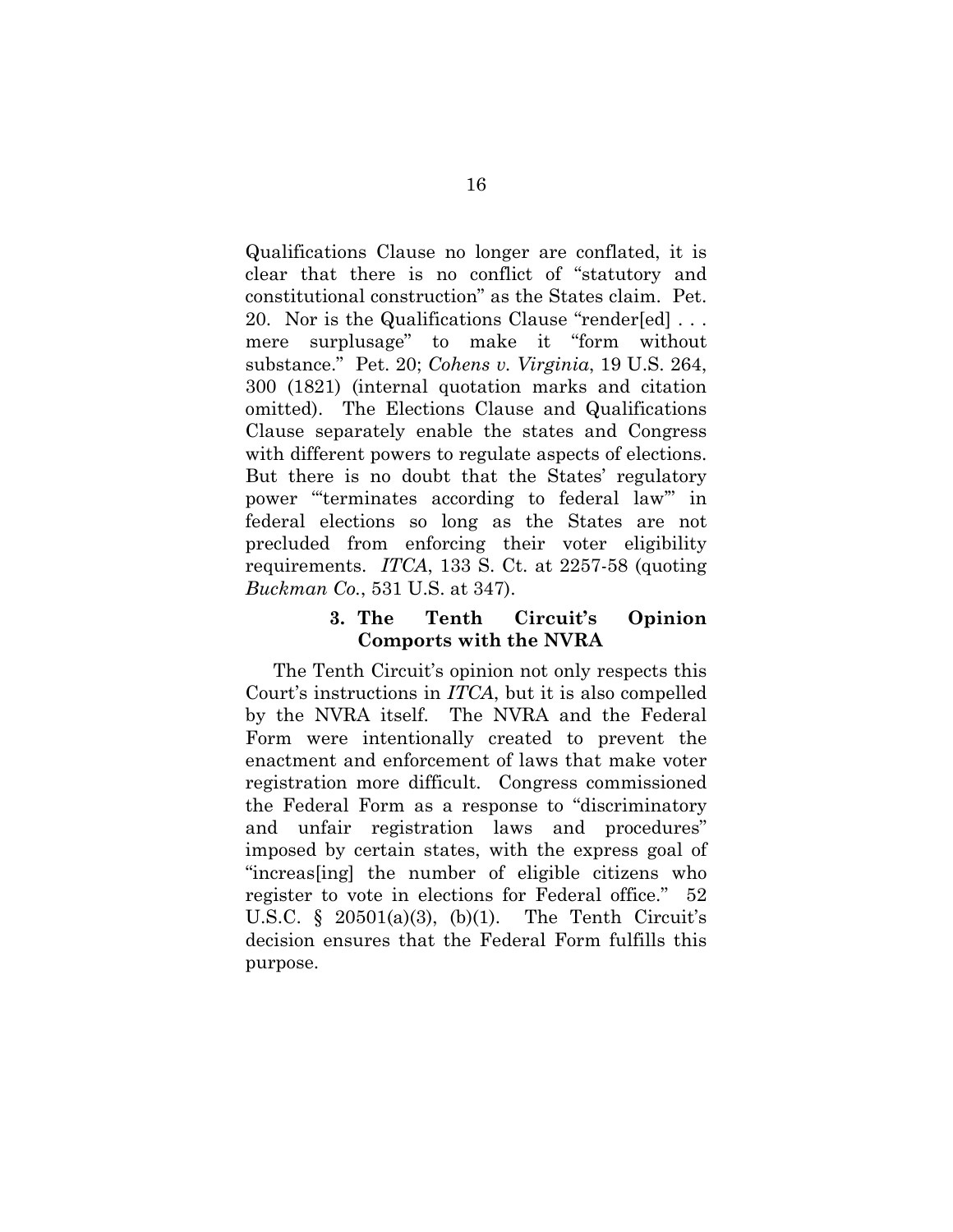Qualifications Clause no longer are conflated, it is clear that there is no conflict of "statutory and constitutional construction" as the States claim. Pet. 20. Nor is the Qualifications Clause "render[ed] . . . mere surplusage" to make it "form without substance." Pet. 20; *Cohens v. Virginia*, 19 U.S. 264, 300 (1821) (internal quotation marks and citation omitted). The Elections Clause and Qualifications Clause separately enable the states and Congress with different powers to regulate aspects of elections. But there is no doubt that the States' regulatory power "'terminates according to federal law'" in federal elections so long as the States are not precluded from enforcing their voter eligibility requirements. *ITCA*, 133 S. Ct. at 2257-58 (quoting *Buckman Co.*, 531 U.S. at 347).

# **3. The Tenth Circuit's Opinion Comports with the NVRA**

The Tenth Circuit's opinion not only respects this Court's instructions in *ITCA*, but it is also compelled by the NVRA itself. The NVRA and the Federal Form were intentionally created to prevent the enactment and enforcement of laws that make voter registration more difficult. Congress commissioned the Federal Form as a response to "discriminatory and unfair registration laws and procedures" imposed by certain states, with the express goal of "increas[ing] the number of eligible citizens who register to vote in elections for Federal office." 52 U.S.C.  $\S$  20501(a)(3), (b)(1). The Tenth Circuit's decision ensures that the Federal Form fulfills this purpose.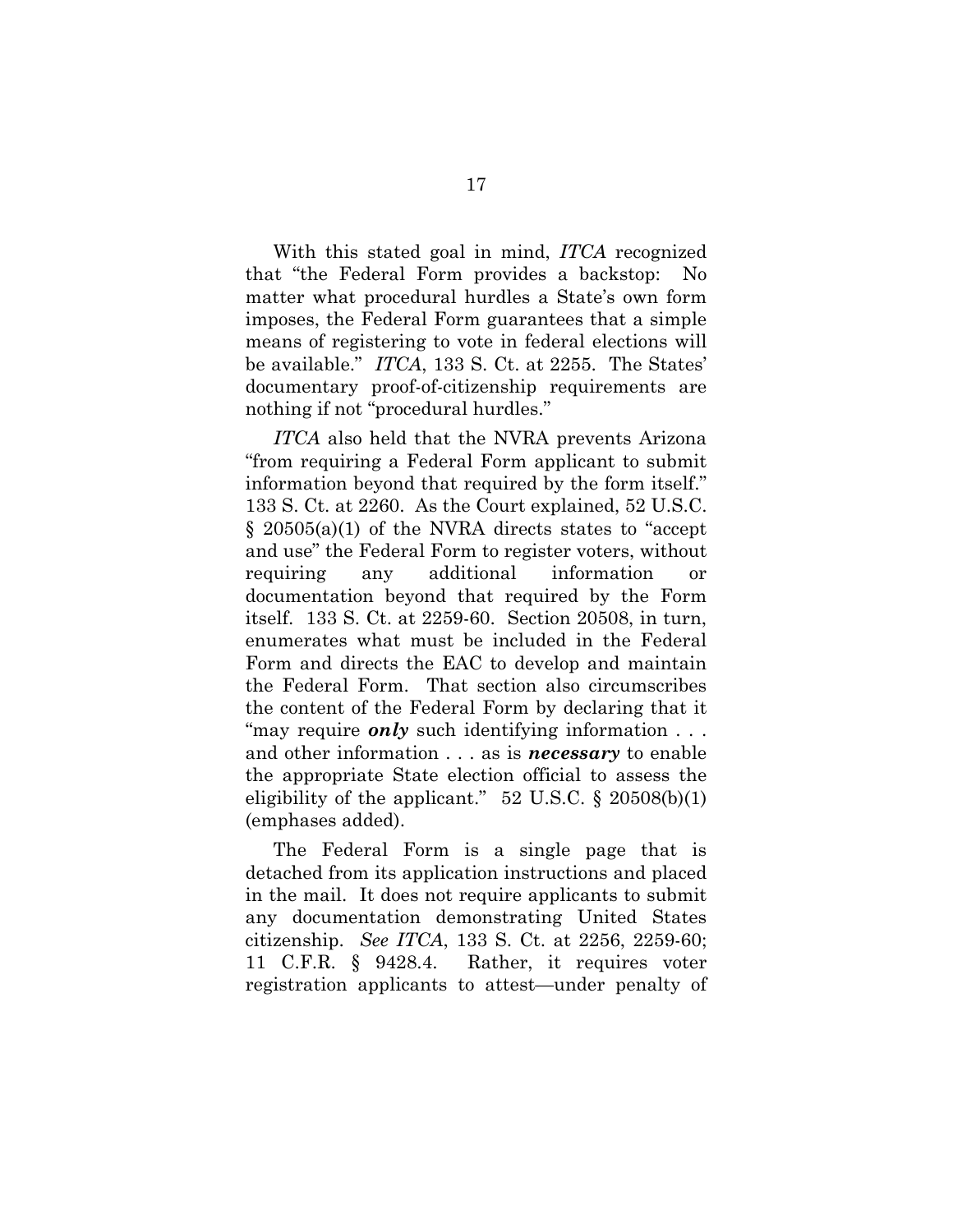With this stated goal in mind, *ITCA* recognized that "the Federal Form provides a backstop: No matter what procedural hurdles a State's own form imposes, the Federal Form guarantees that a simple means of registering to vote in federal elections will be available." *ITCA*, 133 S. Ct. at 2255. The States' documentary proof-of-citizenship requirements are nothing if not "procedural hurdles."

*ITCA* also held that the NVRA prevents Arizona "from requiring a Federal Form applicant to submit information beyond that required by the form itself." 133 S. Ct. at 2260. As the Court explained, 52 U.S.C. § 20505(a)(1) of the NVRA directs states to "accept and use" the Federal Form to register voters, without requiring any additional information or documentation beyond that required by the Form itself. 133 S. Ct. at 2259-60. Section 20508, in turn, enumerates what must be included in the Federal Form and directs the EAC to develop and maintain the Federal Form. That section also circumscribes the content of the Federal Form by declaring that it "may require *only* such identifying information ... and other information . . . as is *necessary* to enable the appropriate State election official to assess the eligibility of the applicant." 52 U.S.C.  $\S$  20508(b)(1) (emphases added).

The Federal Form is a single page that is detached from its application instructions and placed in the mail. It does not require applicants to submit any documentation demonstrating United States citizenship. *See ITCA*, 133 S. Ct. at 2256, 2259-60; 11 C.F.R. § 9428.4. Rather, it requires voter registration applicants to attest—under penalty of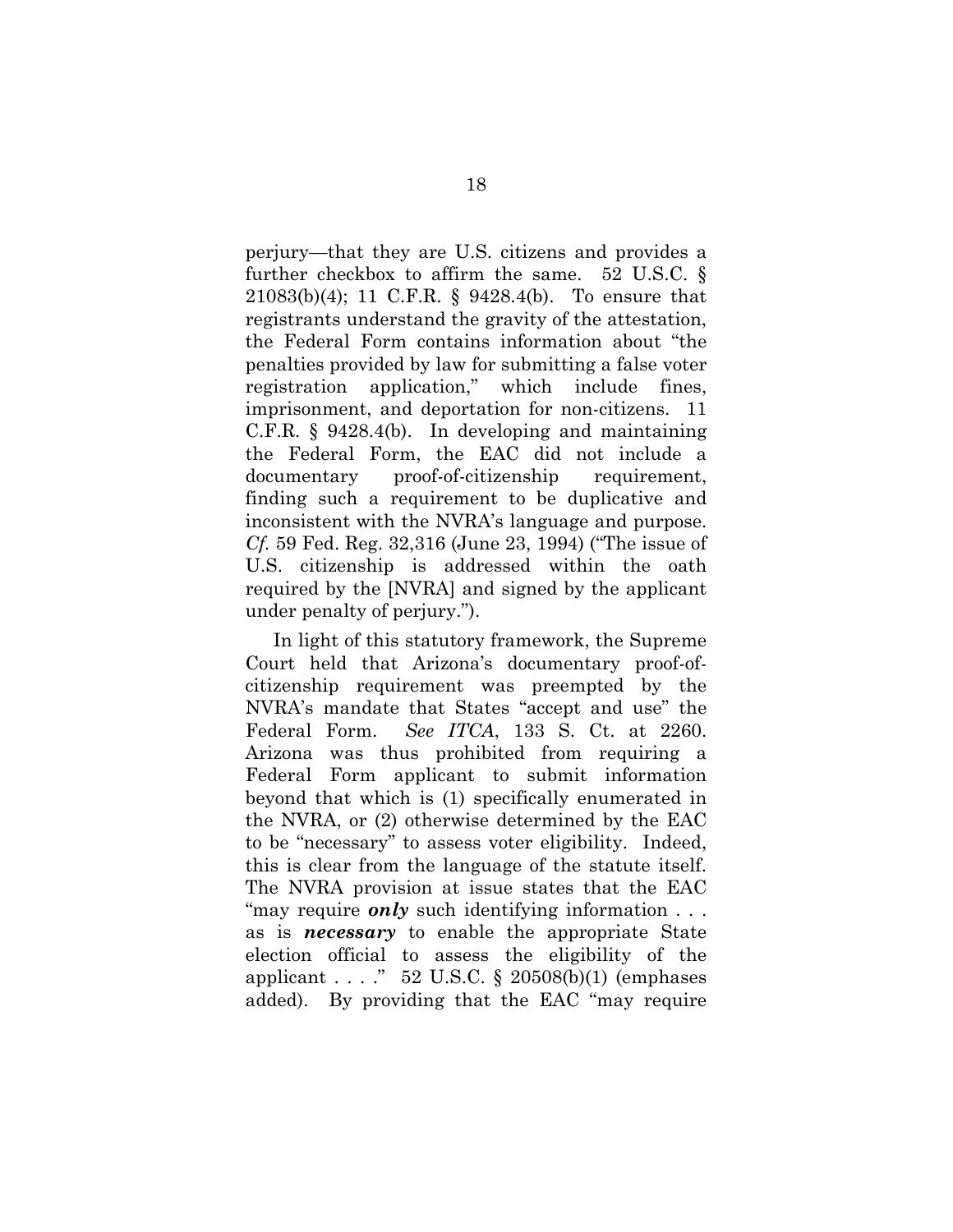perjury—that they are U.S. citizens and provides a further checkbox to affirm the same. 52 U.S.C. § 21083(b)(4); 11 C.F.R. § 9428.4(b). To ensure that registrants understand the gravity of the attestation, the Federal Form contains information about "the penalties provided by law for submitting a false voter registration application," which include fines, imprisonment, and deportation for non-citizens. 11 C.F.R. § 9428.4(b). In developing and maintaining the Federal Form, the EAC did not include a documentary proof-of-citizenship requirement, finding such a requirement to be duplicative and inconsistent with the NVRA's language and purpose. *Cf.* 59 Fed. Reg. 32,316 (June 23, 1994) ("The issue of U.S. citizenship is addressed within the oath required by the [NVRA] and signed by the applicant under penalty of perjury.").

In light of this statutory framework, the Supreme Court held that Arizona's documentary proof-ofcitizenship requirement was preempted by the NVRA's mandate that States "accept and use" the Federal Form. *See ITCA*, 133 S. Ct. at 2260. Arizona was thus prohibited from requiring a Federal Form applicant to submit information beyond that which is (1) specifically enumerated in the NVRA, or (2) otherwise determined by the EAC to be "necessary" to assess voter eligibility. Indeed, this is clear from the language of the statute itself. The NVRA provision at issue states that the EAC "may require *only* such identifying information ... as is *necessary* to enable the appropriate State election official to assess the eligibility of the applicant . . . ." 52 U.S.C.  $\S$  20508(b)(1) (emphases added). By providing that the EAC "may require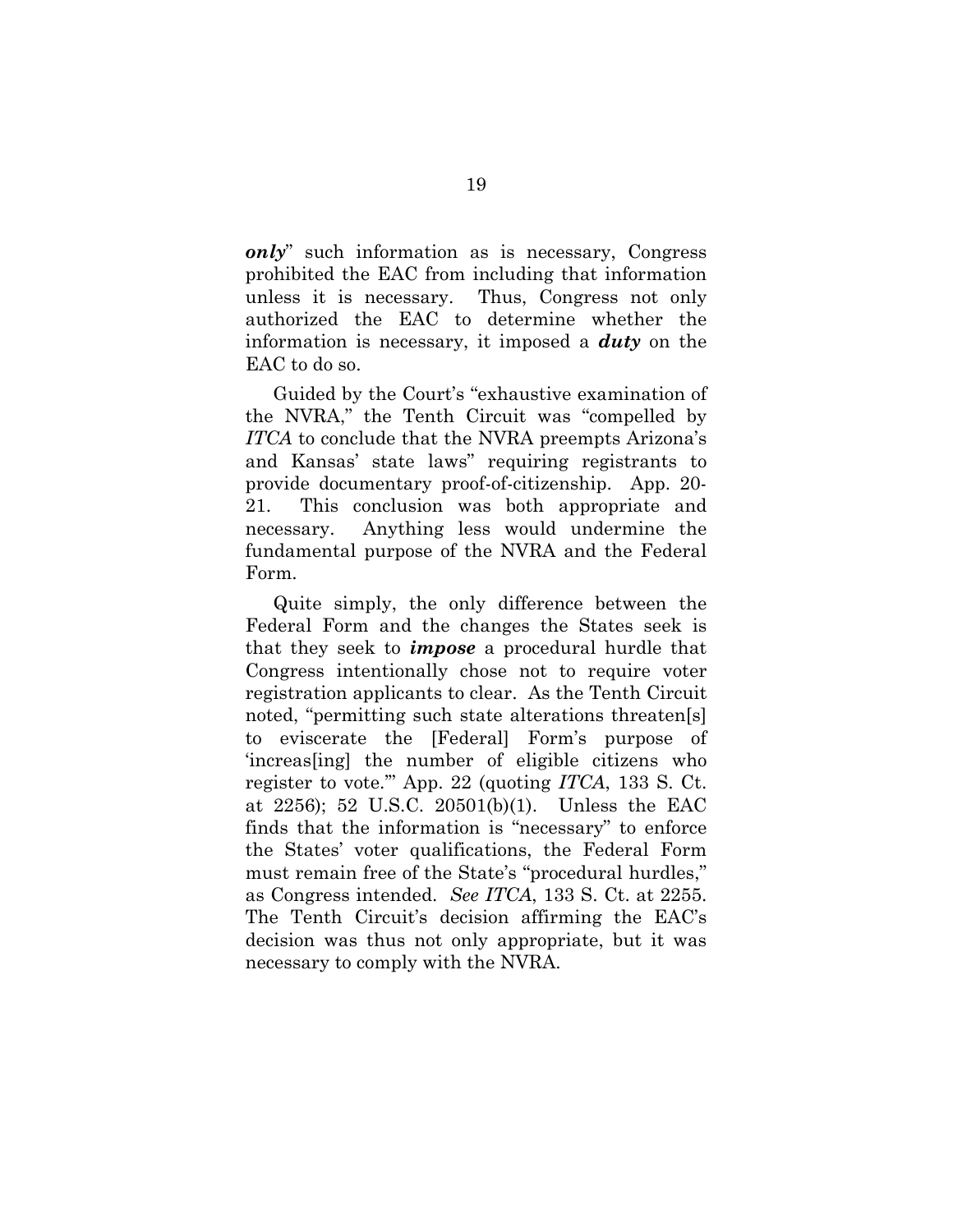*only*" such information as is necessary, Congress prohibited the EAC from including that information unless it is necessary. Thus, Congress not only authorized the EAC to determine whether the information is necessary, it imposed a *duty* on the EAC to do so.

Guided by the Court's "exhaustive examination of the NVRA," the Tenth Circuit was "compelled by *ITCA* to conclude that the NVRA preempts Arizona's and Kansas' state laws" requiring registrants to provide documentary proof-of-citizenship. App. 20- 21. This conclusion was both appropriate and necessary. Anything less would undermine the fundamental purpose of the NVRA and the Federal Form.

Quite simply, the only difference between the Federal Form and the changes the States seek is that they seek to *impose* a procedural hurdle that Congress intentionally chose not to require voter registration applicants to clear. As the Tenth Circuit noted, "permitting such state alterations threaten[s] to eviscerate the [Federal] Form's purpose of 'increas[ing] the number of eligible citizens who register to vote.'" App. 22 (quoting *ITCA*, 133 S. Ct. at 2256); 52 U.S.C. 20501(b)(1). Unless the EAC finds that the information is "necessary" to enforce the States' voter qualifications, the Federal Form must remain free of the State's "procedural hurdles," as Congress intended. *See ITCA*, 133 S. Ct. at 2255. The Tenth Circuit's decision affirming the EAC's decision was thus not only appropriate, but it was necessary to comply with the NVRA.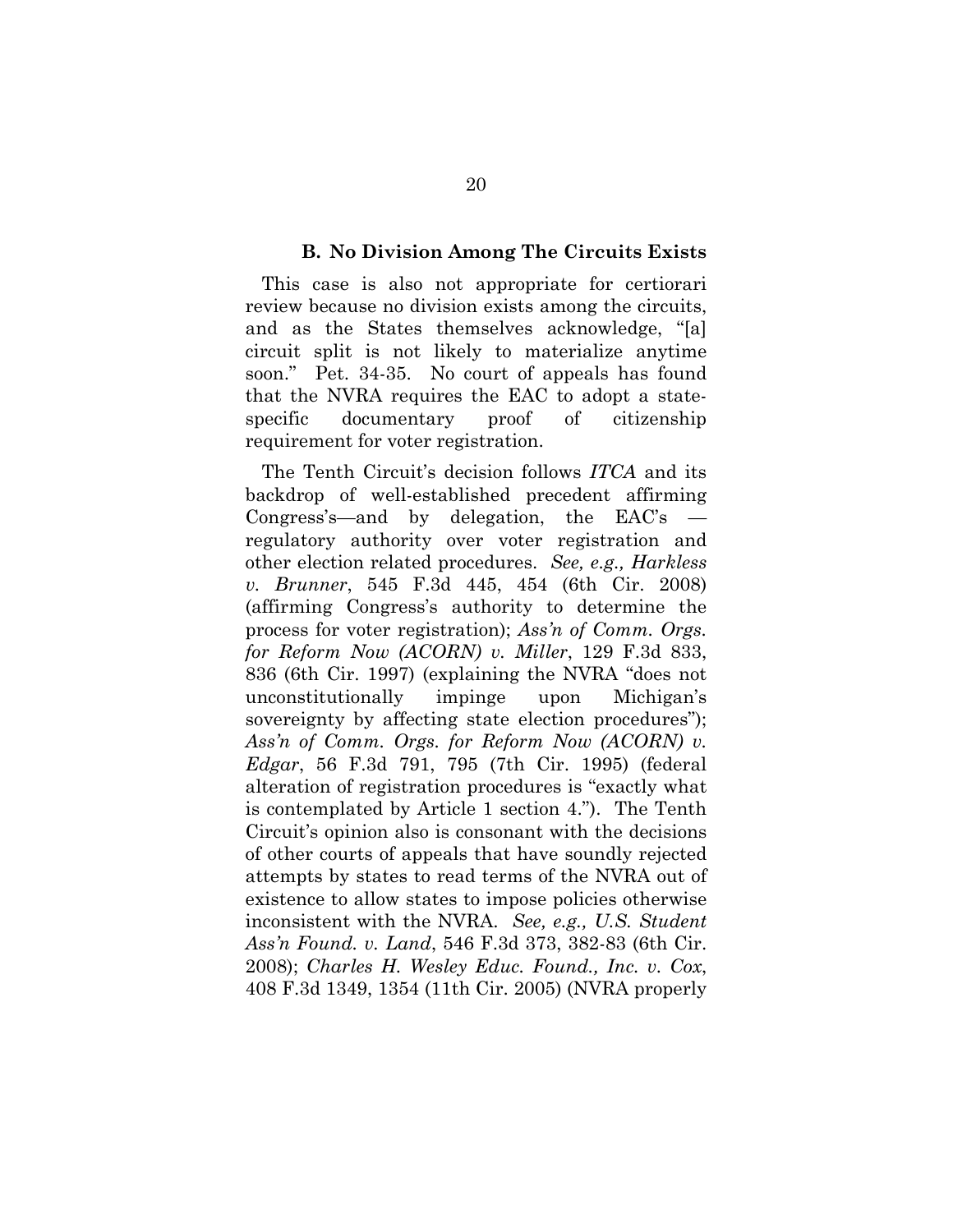#### **B. No Division Among The Circuits Exists**

This case is also not appropriate for certiorari review because no division exists among the circuits, and as the States themselves acknowledge, "[a] circuit split is not likely to materialize anytime soon." Pet. 34-35. No court of appeals has found that the NVRA requires the EAC to adopt a statespecific documentary proof of citizenship requirement for voter registration.

The Tenth Circuit's decision follows *ITCA* and its backdrop of well-established precedent affirming Congress's—and by delegation, the EAC's regulatory authority over voter registration and other election related procedures. *See, e.g., Harkless v. Brunner*, 545 F.3d 445, 454 (6th Cir. 2008) (affirming Congress's authority to determine the process for voter registration); *Ass'n of Comm. Orgs. for Reform Now (ACORN) v. Miller*, 129 F.3d 833, 836 (6th Cir. 1997) (explaining the NVRA "does not unconstitutionally impinge upon Michigan's sovereignty by affecting state election procedures"); *Ass'n of Comm. Orgs. for Reform Now (ACORN) v. Edgar*, 56 F.3d 791, 795 (7th Cir. 1995) (federal alteration of registration procedures is "exactly what is contemplated by Article 1 section 4."). The Tenth Circuit's opinion also is consonant with the decisions of other courts of appeals that have soundly rejected attempts by states to read terms of the NVRA out of existence to allow states to impose policies otherwise inconsistent with the NVRA. *See, e.g., U.S. Student Ass'n Found. v. Land*, 546 F.3d 373, 382-83 (6th Cir. 2008); *Charles H. Wesley Educ. Found., Inc. v. Cox*, 408 F.3d 1349, 1354 (11th Cir. 2005) (NVRA properly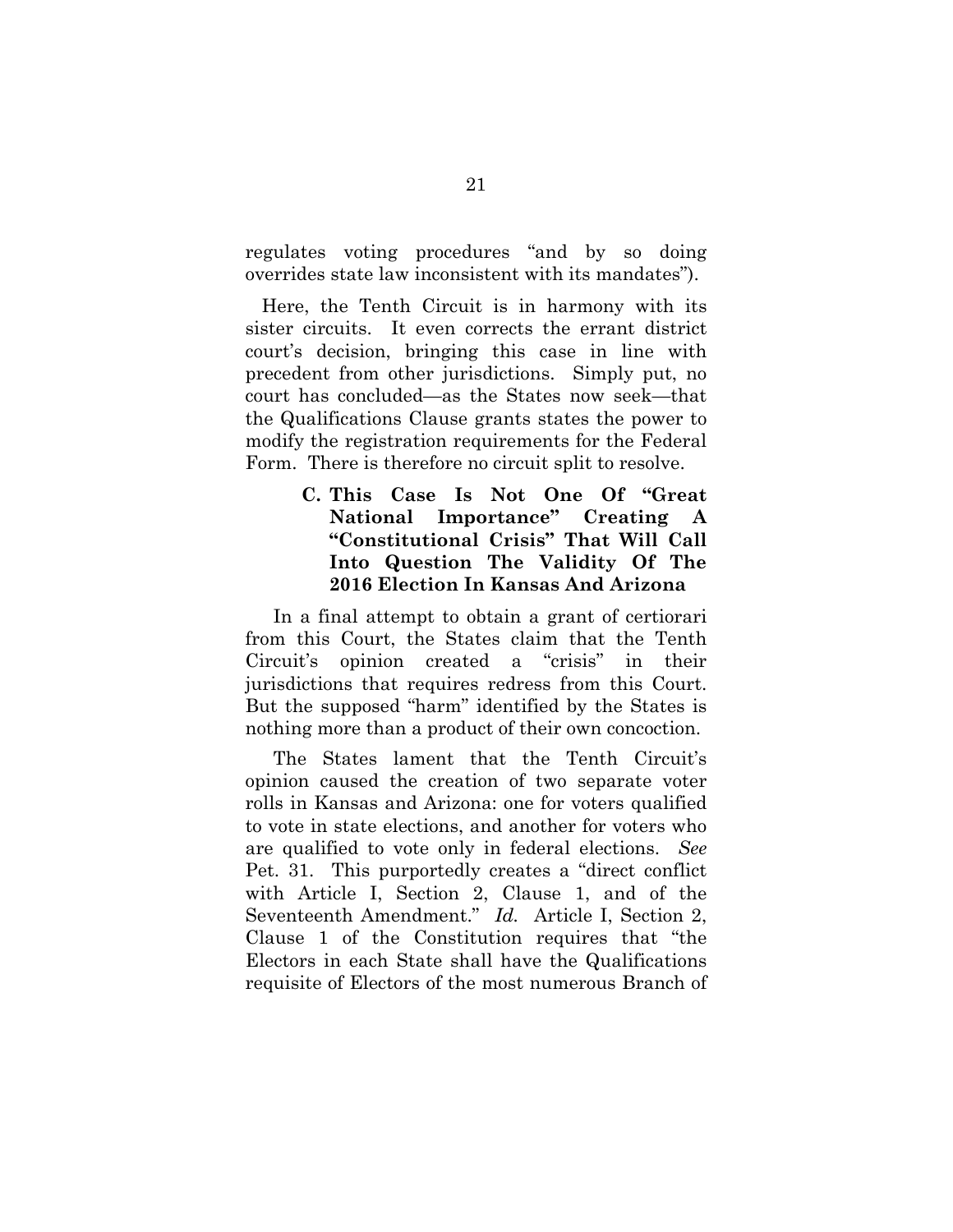regulates voting procedures "and by so doing overrides state law inconsistent with its mandates").

Here, the Tenth Circuit is in harmony with its sister circuits. It even corrects the errant district court's decision, bringing this case in line with precedent from other jurisdictions. Simply put, no court has concluded—as the States now seek—that the Qualifications Clause grants states the power to modify the registration requirements for the Federal Form. There is therefore no circuit split to resolve.

# **C. This Case Is Not One Of "Great National Importance" Creating A "Constitutional Crisis" That Will Call Into Question The Validity Of The 2016 Election In Kansas And Arizona**

In a final attempt to obtain a grant of certiorari from this Court, the States claim that the Tenth Circuit's opinion created a "crisis" in their jurisdictions that requires redress from this Court. But the supposed "harm" identified by the States is nothing more than a product of their own concoction.

The States lament that the Tenth Circuit's opinion caused the creation of two separate voter rolls in Kansas and Arizona: one for voters qualified to vote in state elections, and another for voters who are qualified to vote only in federal elections. *See*  Pet. 31. This purportedly creates a "direct conflict with Article I, Section 2, Clause 1, and of the Seventeenth Amendment." *Id.* Article I, Section 2, Clause 1 of the Constitution requires that "the Electors in each State shall have the Qualifications requisite of Electors of the most numerous Branch of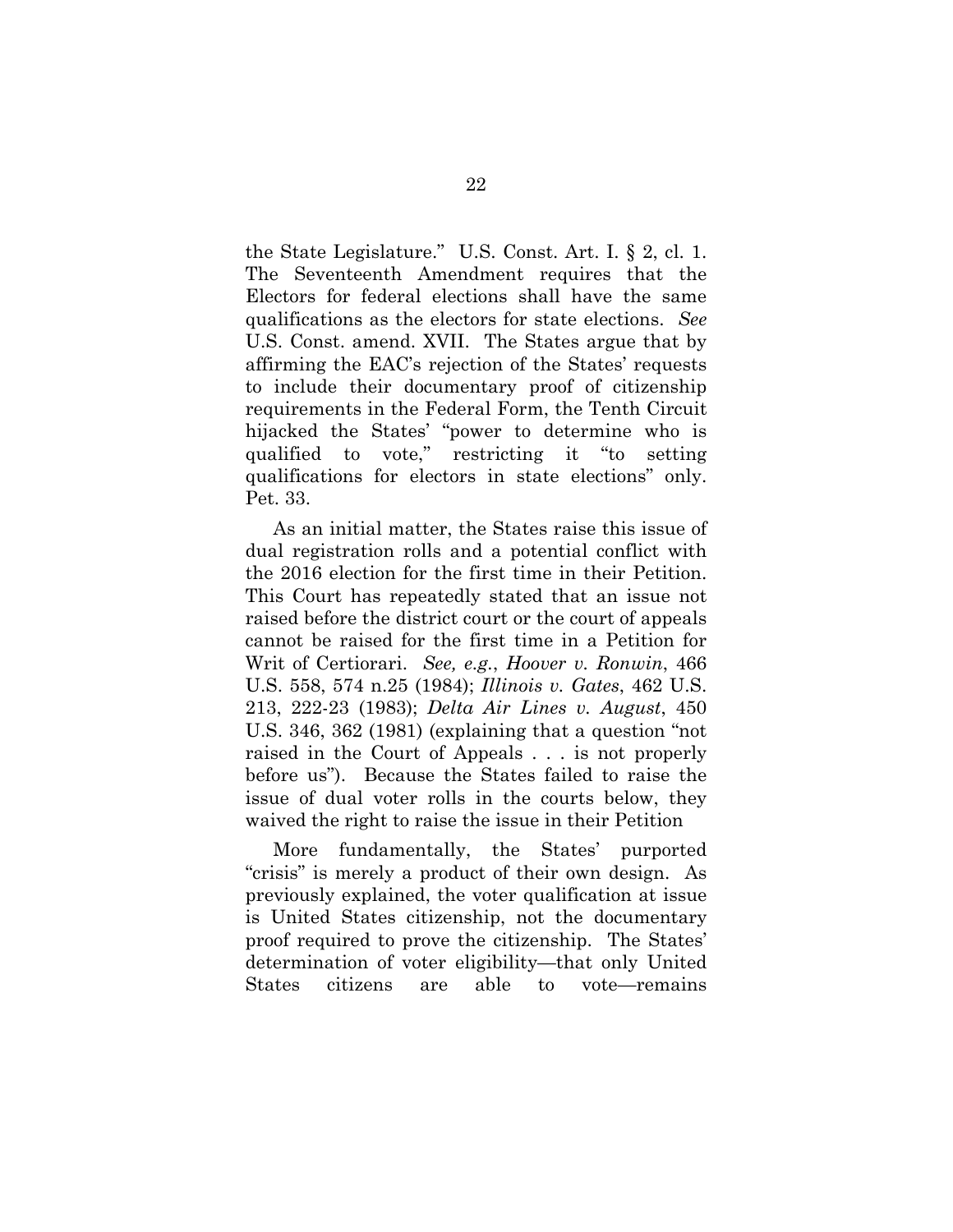the State Legislature." U.S. Const. Art. I. § 2, cl. 1. The Seventeenth Amendment requires that the Electors for federal elections shall have the same qualifications as the electors for state elections. *See* U.S. Const. amend. XVII. The States argue that by affirming the EAC's rejection of the States' requests to include their documentary proof of citizenship requirements in the Federal Form, the Tenth Circuit hijacked the States' "power to determine who is qualified to vote," restricting it "to setting qualifications for electors in state elections" only. Pet. 33.

As an initial matter, the States raise this issue of dual registration rolls and a potential conflict with the 2016 election for the first time in their Petition. This Court has repeatedly stated that an issue not raised before the district court or the court of appeals cannot be raised for the first time in a Petition for Writ of Certiorari. *See, e.g.*, *Hoover v. Ronwin*, 466 U.S. 558, 574 n.25 (1984); *Illinois v. Gates*, 462 U.S. 213, 222-23 (1983); *Delta Air Lines v. August*, 450 U.S. 346, 362 (1981) (explaining that a question "not raised in the Court of Appeals . . . is not properly before us"). Because the States failed to raise the issue of dual voter rolls in the courts below, they waived the right to raise the issue in their Petition

More fundamentally, the States' purported "crisis" is merely a product of their own design. As previously explained, the voter qualification at issue is United States citizenship, not the documentary proof required to prove the citizenship. The States' determination of voter eligibility—that only United States citizens are able to vote—remains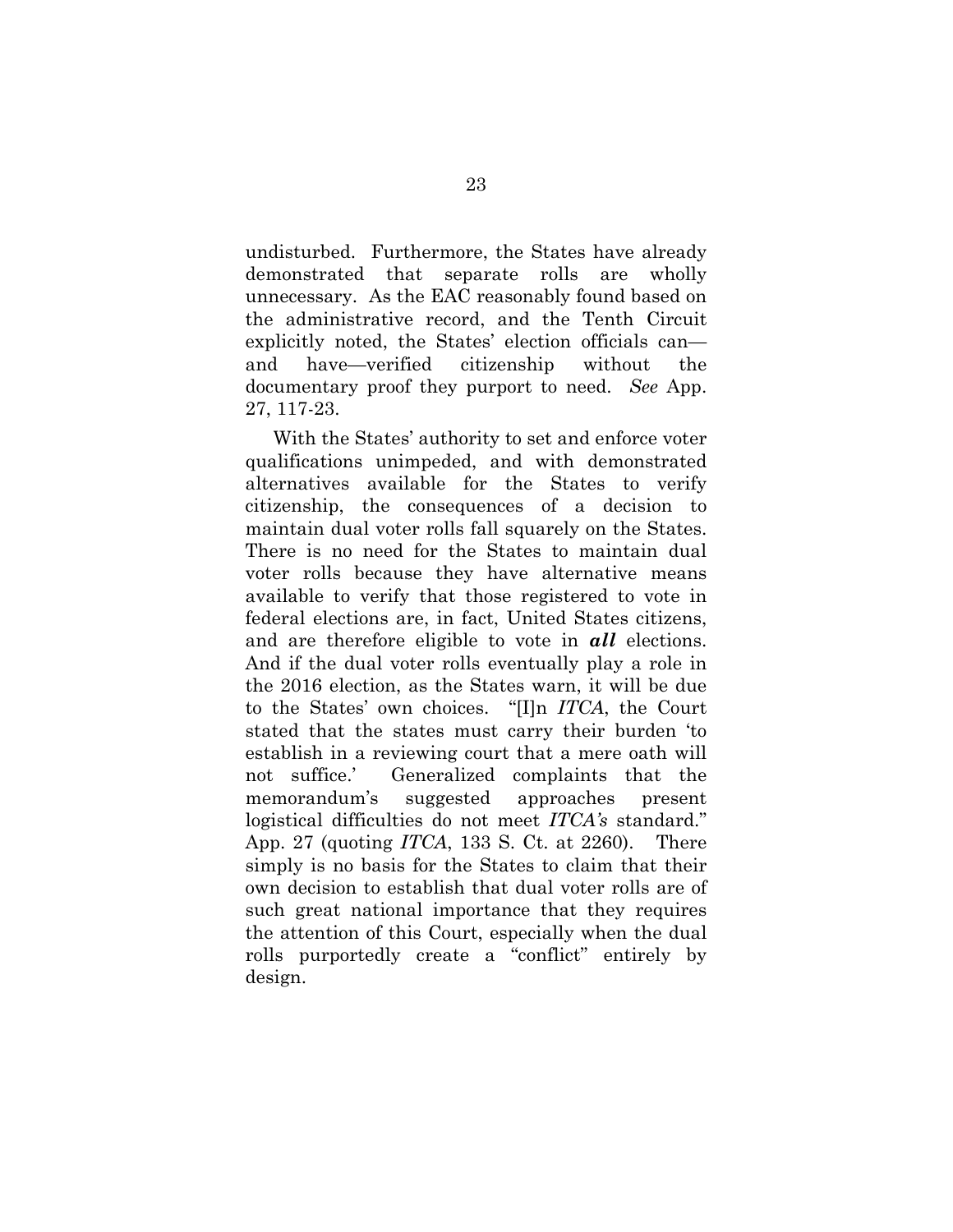undisturbed. Furthermore, the States have already demonstrated that separate rolls are wholly unnecessary. As the EAC reasonably found based on the administrative record, and the Tenth Circuit explicitly noted, the States' election officials can and have—verified citizenship without the documentary proof they purport to need. *See* App. 27, 117-23.

With the States' authority to set and enforce voter qualifications unimpeded, and with demonstrated alternatives available for the States to verify citizenship, the consequences of a decision to maintain dual voter rolls fall squarely on the States. There is no need for the States to maintain dual voter rolls because they have alternative means available to verify that those registered to vote in federal elections are, in fact, United States citizens, and are therefore eligible to vote in *all* elections. And if the dual voter rolls eventually play a role in the 2016 election, as the States warn, it will be due to the States' own choices. "[I]n *ITCA*, the Court stated that the states must carry their burden 'to establish in a reviewing court that a mere oath will not suffice.' Generalized complaints that the memorandum's suggested approaches present logistical difficulties do not meet *ITCA's* standard." App. 27 (quoting *ITCA*, 133 S. Ct. at 2260). There simply is no basis for the States to claim that their own decision to establish that dual voter rolls are of such great national importance that they requires the attention of this Court, especially when the dual rolls purportedly create a "conflict" entirely by design.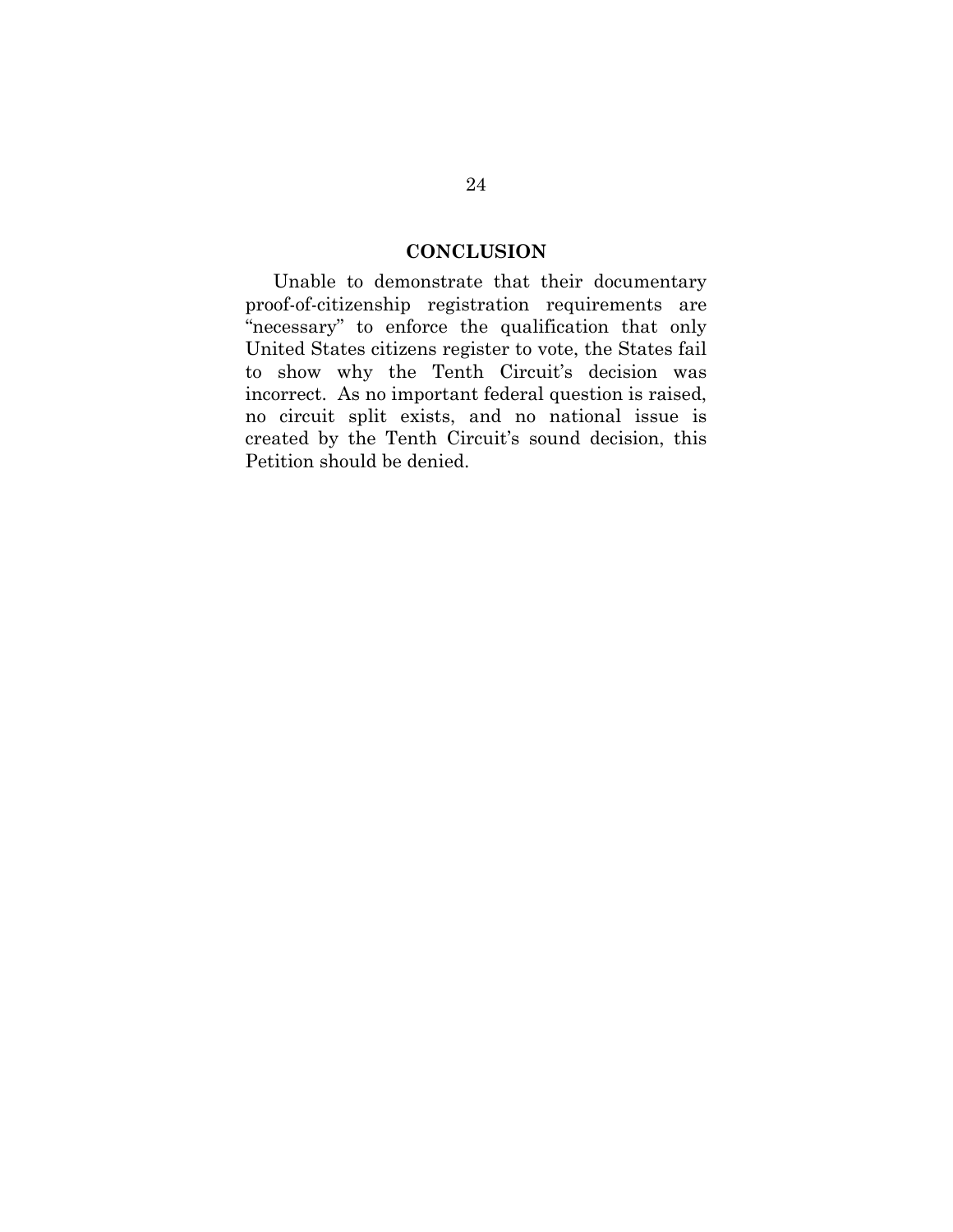## **CONCLUSION**

Unable to demonstrate that their documentary proof-of-citizenship registration requirements are "necessary" to enforce the qualification that only United States citizens register to vote, the States fail to show why the Tenth Circuit's decision was incorrect. As no important federal question is raised, no circuit split exists, and no national issue is created by the Tenth Circuit's sound decision, this Petition should be denied.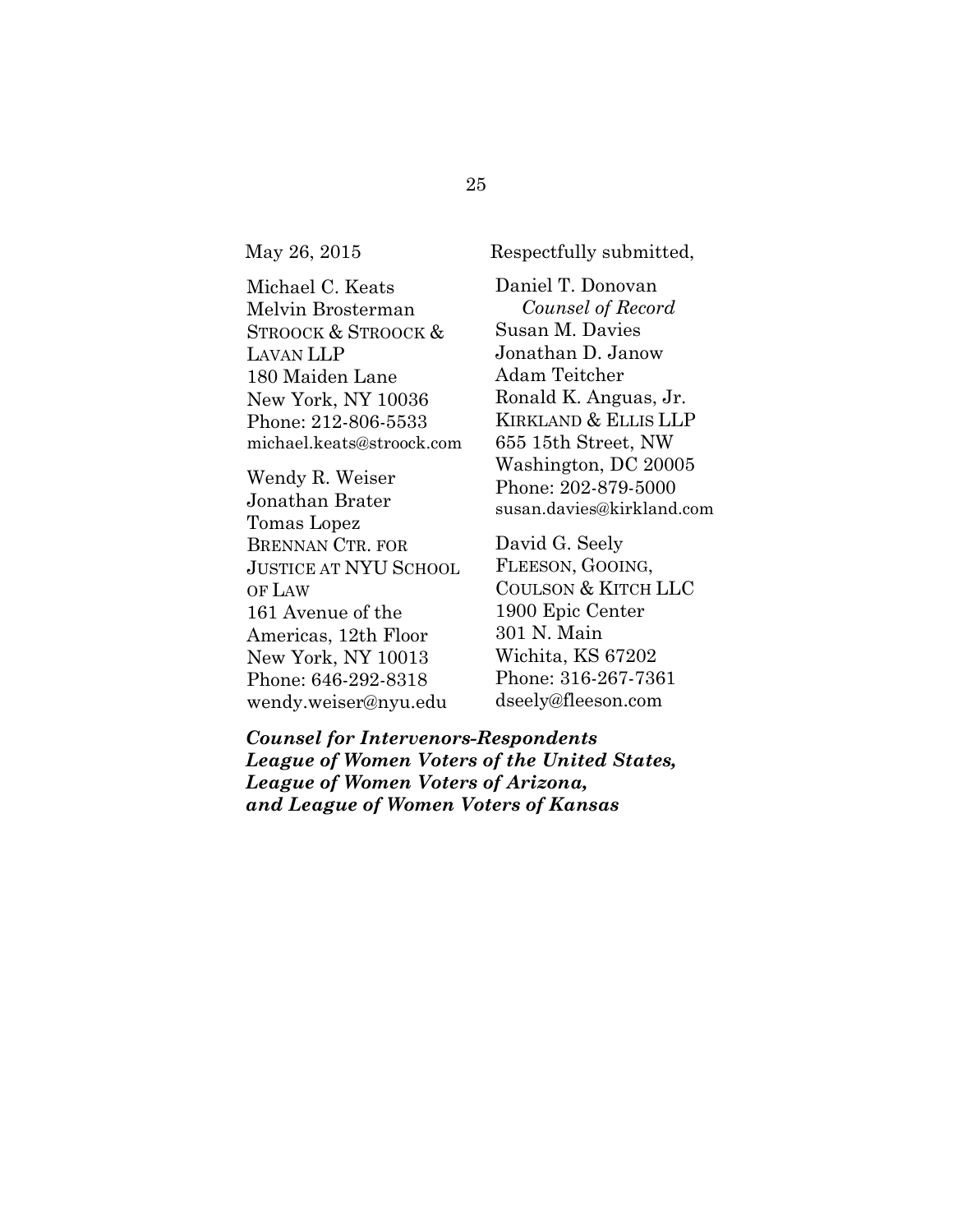May 26, 2015 Respectfully submitted,

Michael C. Keats Melvin Brosterman STROOCK & STROOCK & LAVAN LLP 180 Maiden Lane New York, NY 10036 Phone: 212-806-5533 michael.keats@stroock.com

Wendy R. Weiser Jonathan Brater Tomas Lopez BRENNAN CTR. FOR JUSTICE AT NYU SCHOOL OF LAW 161 Avenue of the Americas, 12th Floor New York, NY 10013 Phone: 646-292-8318 wendy.weiser@nyu.edu

Daniel T. Donovan *Counsel of Record*  Susan M. Davies Jonathan D. Janow Adam Teitcher Ronald K. Anguas, Jr. KIRKLAND & ELLIS LLP 655 15th Street, NW Washington, DC 20005 Phone: 202-879-5000 susan.davies@kirkland.com

David G. Seely FLEESON, GOOING, COULSON & KITCH LLC 1900 Epic Center 301 N. Main Wichita, KS 67202 Phone: 316-267-7361 dseely@fleeson.com

*Counsel for Intervenors-Respondents League of Women Voters of the United States, League of Women Voters of Arizona, and League of Women Voters of Kansas*